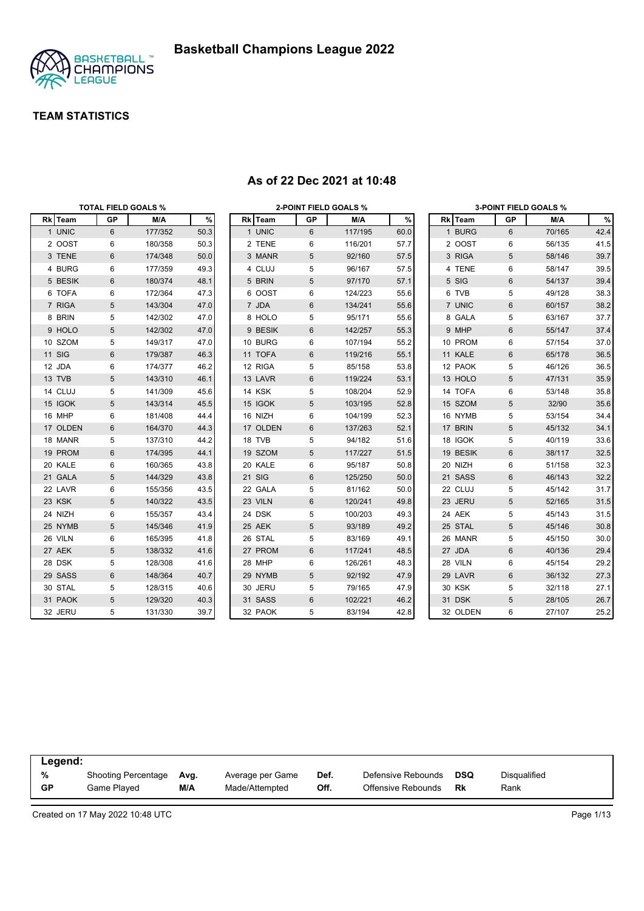

|          | <b>TOTAL FIELD GOALS %</b> |         |      |          |            | 2-POINT FIELD GOALS % |      |               |          |    | <b>3-POINT FIELD GOALS %</b> |      |
|----------|----------------------------|---------|------|----------|------------|-----------------------|------|---------------|----------|----|------------------------------|------|
| Rk Team  | GP                         | M/A     | $\%$ | Rk Team  | GP         | M/A                   | $\%$ |               | Rk Team  | GP | M/A                          | %    |
| 1 UNIC   | 6                          | 177/352 | 50.3 | 1 UNIC   | 6          | 117/195               | 60.0 |               | 1 BURG   | 6  | 70/165                       | 42.4 |
| 2 OOST   | 6                          | 180/358 | 50.3 | 2 TENE   | 6          | 116/201               | 57.7 |               | 2 OOST   | 6  | 56/135                       | 41.5 |
| 3 TENE   | 6                          | 174/348 | 50.0 | 3 MANR   | 5          | 92/160                | 57.5 |               | 3 RIGA   | 5  | 58/146                       | 39.7 |
| 4 BURG   | 6                          | 177/359 | 49.3 | 4 CLUJ   | 5          | 96/167                | 57.5 |               | 4 TENE   | 6  | 58/147                       | 39.5 |
| 5 BESIK  | 6                          | 180/374 | 48.1 | 5 BRIN   | 5          | 97/170                | 57.1 | 5 SIG         |          | 6  | 54/137                       | 39.4 |
| 6 TOFA   | 6                          | 172/364 | 47.3 | 6 OOST   | 6          | 124/223               | 55.6 |               | 6 TVB    | 5  | 49/128                       | 38.3 |
| 7 RIGA   | 5                          | 143/304 | 47.0 | 7 JDA    | 6          | 134/241               | 55.6 |               | 7 UNIC   | 6  | 60/157                       | 38.2 |
| 8 BRIN   | 5                          | 142/302 | 47.0 | 8 HOLO   | 5          | 95/171                | 55.6 |               | 8 GALA   | 5  | 63/167                       | 37.7 |
| 9 HOLO   | 5                          | 142/302 | 47.0 | 9 BESIK  | 6          | 142/257               | 55.3 |               | 9 MHP    | 6  | 55/147                       | 37.4 |
| 10 SZOM  | 5                          | 149/317 | 47.0 | 10 BURG  | 6          | 107/194               | 55.2 |               | 10 PROM  | 6  | 57/154                       | 37.0 |
| 11 SIG   | 6                          | 179/387 | 46.3 | 11 TOFA  | 6          | 119/216               | 55.1 |               | 11 KALE  | 6  | 65/178                       | 36.5 |
| 12 JDA   | 6                          | 174/377 | 46.2 | 12 RIGA  | 5          | 85/158                | 53.8 |               | 12 PAOK  | 5  | 46/126                       | 36.5 |
| 13 TVB   | 5                          | 143/310 | 46.1 | 13 LAVR  | 6          | 119/224               | 53.1 |               | 13 HOLO  | 5  | 47/131                       | 35.9 |
| 14 CLUJ  | 5                          | 141/309 | 45.6 | 14 KSK   | 5          | 108/204               | 52.9 |               | 14 TOFA  | 6  | 53/148                       | 35.8 |
| 15 IGOK  | 5                          | 143/314 | 45.5 | 15 IGOK  | $\sqrt{5}$ | 103/195               | 52.8 |               | 15 SZOM  | 5  | 32/90                        | 35.6 |
| 16 MHP   | 6                          | 181/408 | 44.4 | 16 NIZH  | 6          | 104/199               | 52.3 |               | 16 NYMB  | 5  | 53/154                       | 34.4 |
| 17 OLDEN | 6                          | 164/370 | 44.3 | 17 OLDEN | 6          | 137/263               | 52.1 |               | 17 BRIN  | 5  | 45/132                       | 34.1 |
| 18 MANR  | 5                          | 137/310 | 44.2 | 18 TVB   | 5          | 94/182                | 51.6 |               | 18 IGOK  | 5  | 40/119                       | 33.6 |
| 19 PROM  | 6                          | 174/395 | 44.1 | 19 SZOM  | 5          | 117/227               | 51.5 |               | 19 BESIK | 6  | 38/117                       | 32.5 |
| 20 KALE  | 6                          | 160/365 | 43.8 | 20 KALE  | 6          | 95/187                | 50.8 | 20 NIZH       |          | 6  | 51/158                       | 32.3 |
| 21 GALA  | 5                          | 144/329 | 43.8 | 21 SIG   | 6          | 125/250               | 50.0 |               | 21 SASS  | 6  | 46/143                       | 32.2 |
| 22 LAVR  | 6                          | 155/356 | 43.5 | 22 GALA  | 5          | 81/162                | 50.0 |               | 22 CLUJ  | 5  | 45/142                       | 31.7 |
| 23 KSK   | 5                          | 140/322 | 43.5 | 23 VILN  | 6          | 120/241               | 49.8 |               | 23 JERU  | 5  | 52/165                       | 31.5 |
| 24 NIZH  | 6                          | 155/357 | 43.4 | 24 DSK   | 5          | 100/203               | 49.3 | 24 AEK        |          | 5  | 45/143                       | 31.5 |
| 25 NYMB  | 5                          | 145/346 | 41.9 | 25 AEK   | $\sqrt{5}$ | 93/189                | 49.2 |               | 25 STAL  | 5  | 45/146                       | 30.8 |
| 26 VILN  | 6                          | 165/395 | 41.8 | 26 STAL  | 5          | 83/169                | 49.1 |               | 26 MANR  | 5  | 45/150                       | 30.0 |
| 27 AEK   | 5                          | 138/332 | 41.6 | 27 PROM  | 6          | 117/241               | 48.5 | 27 JDA        |          | 6  | 40/136                       | 29.4 |
| 28 DSK   | 5                          | 128/308 | 41.6 | 28 MHP   | 6          | 126/261               | 48.3 | 28 VILN       |          | 6  | 45/154                       | 29.2 |
| 29 SASS  | 6                          | 148/364 | 40.7 | 29 NYMB  | 5          | 92/192                | 47.9 |               | 29 LAVR  | 6  | 36/132                       | 27.3 |
| 30 STAL  | 5                          | 128/315 | 40.6 | 30 JERU  | 5          | 79/165                | 47.9 | <b>30 KSK</b> |          | 5  | 32/118                       | 27.1 |
| 31 PAOK  | 5                          | 129/320 | 40.3 | 31 SASS  | 6          | 102/221               | 46.2 | 31 DSK        |          | 5  | 28/105                       | 26.7 |
| 32 JERU  | 5                          | 131/330 | 39.7 | 32 PAOK  | 5          | 83/194                | 42.8 |               | 32 OLDEN | 6  | 27/107                       | 25.2 |

#### **As of 22 Dec 2021 at 10:48**

| Legend:        |                                    |             |                                    |              |                                          |           |                      |  |
|----------------|------------------------------------|-------------|------------------------------------|--------------|------------------------------------------|-----------|----------------------|--|
| %<br><b>GP</b> | Shooting Percentage<br>Game Plaved | Ava.<br>M/A | Average per Game<br>Made/Attempted | Def.<br>Off. | Defensive Rebounds<br>Offensive Rebounds | DSQ<br>Rk | Disgualified<br>Rank |  |
|                |                                    |             |                                    |              |                                          |           |                      |  |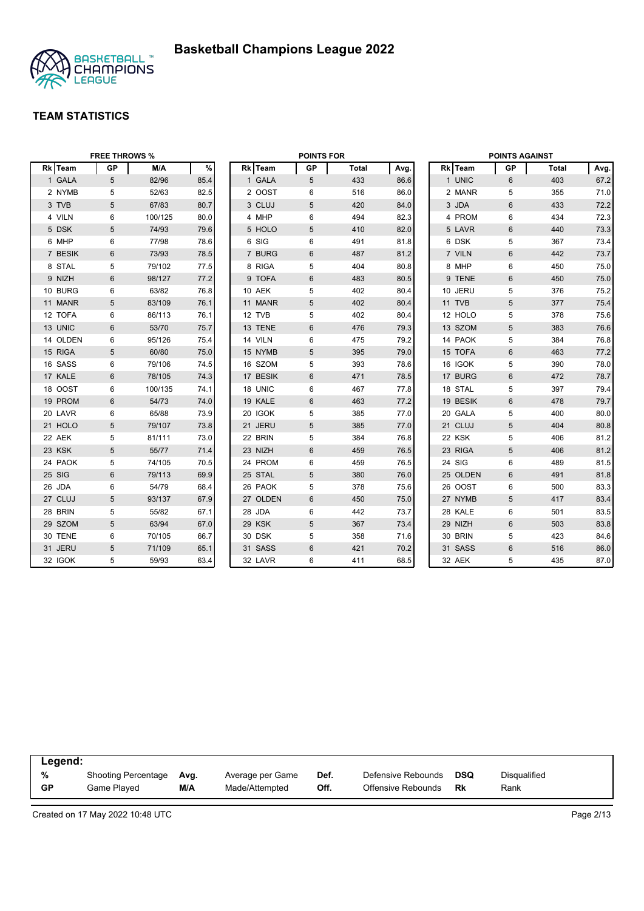

|          | <b>FREE THROWS %</b> |         |      |          | <b>POINTS FOR</b> |              |      |          | <b>POINTS AGAINST</b> |       |      |
|----------|----------------------|---------|------|----------|-------------------|--------------|------|----------|-----------------------|-------|------|
| Rk Team  | <b>GP</b>            | M/A     | $\%$ | Rk Team  | <b>GP</b>         | <b>Total</b> | Avg. | Rk Team  | GP                    | Total | Avg. |
| 1 GALA   | 5                    | 82/96   | 85.4 | 1 GALA   | 5                 | 433          | 86.6 | 1 UNIC   | 6                     | 403   | 67.2 |
| 2 NYMB   | 5                    | 52/63   | 82.5 | 2 OOST   | 6                 | 516          | 86.0 | 2 MANR   | 5                     | 355   | 71.0 |
| 3 TVB    | 5                    | 67/83   | 80.7 | 3 CLUJ   | 5                 | 420          | 84.0 | 3 JDA    | 6                     | 433   | 72.2 |
| 4 VILN   | 6                    | 100/125 | 80.0 | 4 MHP    | 6                 | 494          | 82.3 | 4 PROM   | 6                     | 434   | 72.3 |
| 5 DSK    | 5                    | 74/93   | 79.6 | 5 HOLO   | 5                 | 410          | 82.0 | 5 LAVR   | $6\phantom{1}$        | 440   | 73.3 |
| 6 MHP    | 6                    | 77/98   | 78.6 | 6 SIG    | 6                 | 491          | 81.8 | 6 DSK    | 5                     | 367   | 73.4 |
| 7 BESIK  | 6                    | 73/93   | 78.5 | 7 BURG   | 6                 | 487          | 81.2 | 7 VILN   | $6\phantom{1}$        | 442   | 73.7 |
| 8 STAL   | 5                    | 79/102  | 77.5 | 8 RIGA   | 5                 | 404          | 80.8 | 8 MHP    | 6                     | 450   | 75.0 |
| 9 NIZH   | 6                    | 98/127  | 77.2 | 9 TOFA   | 6                 | 483          | 80.5 | 9 TENE   | 6                     | 450   | 75.0 |
| 10 BURG  | 6                    | 63/82   | 76.8 | 10 AEK   | 5                 | 402          | 80.4 | 10 JERU  | 5                     | 376   | 75.2 |
| 11 MANR  | 5                    | 83/109  | 76.1 | 11 MANR  | 5                 | 402          | 80.4 | 11 TVB   | 5                     | 377   | 75.4 |
| 12 TOFA  | 6                    | 86/113  | 76.1 | 12 TVB   | 5                 | 402          | 80.4 | 12 HOLO  | 5                     | 378   | 75.6 |
| 13 UNIC  | 6                    | 53/70   | 75.7 | 13 TENE  | 6                 | 476          | 79.3 | 13 SZOM  | $\overline{5}$        | 383   | 76.6 |
| 14 OLDEN | 6                    | 95/126  | 75.4 | 14 VILN  | 6                 | 475          | 79.2 | 14 PAOK  | 5                     | 384   | 76.8 |
| 15 RIGA  | $\overline{5}$       | 60/80   | 75.0 | 15 NYMB  | 5                 | 395          | 79.0 | 15 TOFA  | $6\phantom{1}$        | 463   | 77.2 |
| 16 SASS  | 6                    | 79/106  | 74.5 | 16 SZOM  | 5                 | 393          | 78.6 | 16 IGOK  | 5                     | 390   | 78.0 |
| 17 KALE  | $6\phantom{1}$       | 78/105  | 74.3 | 17 BESIK | 6                 | 471          | 78.5 | 17 BURG  | $6\phantom{1}$        | 472   | 78.7 |
| 18 OOST  | 6                    | 100/135 | 74.1 | 18 UNIC  | 6                 | 467          | 77.8 | 18 STAL  | 5                     | 397   | 79.4 |
| 19 PROM  | 6                    | 54/73   | 74.0 | 19 KALE  | 6                 | 463          | 77.2 | 19 BESIK | $6\phantom{1}$        | 478   | 79.7 |
| 20 LAVR  | 6                    | 65/88   | 73.9 | 20 IGOK  | 5                 | 385          | 77.0 | 20 GALA  | 5                     | 400   | 80.0 |
| 21 HOLO  | 5                    | 79/107  | 73.8 | 21 JERU  | 5                 | 385          | 77.0 | 21 CLUJ  | 5                     | 404   | 80.8 |
| 22 AEK   | 5                    | 81/111  | 73.0 | 22 BRIN  | 5                 | 384          | 76.8 | 22 KSK   | 5                     | 406   | 81.2 |
| 23 KSK   | $\overline{5}$       | 55/77   | 71.4 | 23 NIZH  | 6                 | 459          | 76.5 | 23 RIGA  | $5\phantom{.0}$       | 406   | 81.2 |
| 24 PAOK  | 5                    | 74/105  | 70.5 | 24 PROM  | 6                 | 459          | 76.5 | 24 SIG   | 6                     | 489   | 81.5 |
| 25 SIG   | 6                    | 79/113  | 69.9 | 25 STAL  | 5                 | 380          | 76.0 | 25 OLDEN | 6                     | 491   | 81.8 |
| 26 JDA   | 6                    | 54/79   | 68.4 | 26 PAOK  | 5                 | 378          | 75.6 | 26 OOST  | 6                     | 500   | 83.3 |
| 27 CLUJ  | $\overline{5}$       | 93/137  | 67.9 | 27 OLDEN | 6                 | 450          | 75.0 | 27 NYMB  | 5                     | 417   | 83.4 |
| 28 BRIN  | 5                    | 55/82   | 67.1 | 28 JDA   | 6                 | 442          | 73.7 | 28 KALE  | 6                     | 501   | 83.5 |
| 29 SZOM  | 5                    | 63/94   | 67.0 | 29 KSK   | 5                 | 367          | 73.4 | 29 NIZH  | $6\phantom{1}$        | 503   | 83.8 |
| 30 TENE  | 6                    | 70/105  | 66.7 | 30 DSK   | 5                 | 358          | 71.6 | 30 BRIN  | 5                     | 423   | 84.6 |
| 31 JERU  | 5                    | 71/109  | 65.1 | 31 SASS  | 6                 | 421          | 70.2 | 31 SASS  | 6                     | 516   | 86.0 |
| 32 IGOK  | 5                    | 59/93   | 63.4 | 32 LAVR  | 6                 | 411          | 68.5 | 32 AEK   | 5                     | 435   | 87.0 |

| Legend:   |                     |      |                  |      |                    |     |              |
|-----------|---------------------|------|------------------|------|--------------------|-----|--------------|
| %         | Shooting Percentage | Ava. | Average per Game | Def. | Defensive Rebounds | DSQ | Disqualified |
| <b>GP</b> | Game Played         | M/A  | Made/Attempted   | Off. | Offensive Rebounds | Rk  | Rank         |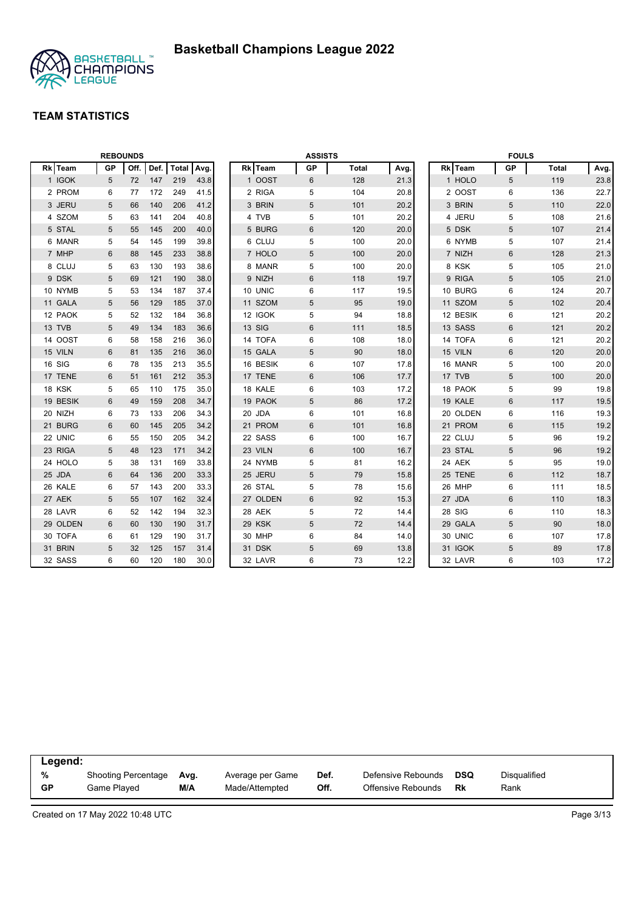

|          | <b>REBOUNDS</b> |      |      |       |      |          | <b>ASSISTS</b> |              |      |          | <b>FOULS</b>    |              |      |
|----------|-----------------|------|------|-------|------|----------|----------------|--------------|------|----------|-----------------|--------------|------|
| Rk Team  | <b>GP</b>       | Off. | Def. | Total | Avg. | Rk Team  | <b>GP</b>      | <b>Total</b> | Avg. | Rk Team  | <b>GP</b>       | <b>Total</b> | Avg. |
| 1 IGOK   | 5               | 72   | 147  | 219   | 43.8 | 1 OOST   | 6              | 128          | 21.3 | 1 HOLO   | $5\phantom{.0}$ | 119          | 23.8 |
| 2 PROM   | 6               | 77   | 172  | 249   | 41.5 | 2 RIGA   | 5              | 104          | 20.8 | 2 OOST   | 6               | 136          | 22.7 |
| 3 JERU   | 5               | 66   | 140  | 206   | 41.2 | 3 BRIN   | 5              | 101          | 20.2 | 3 BRIN   | 5               | 110          | 22.0 |
| 4 SZOM   | 5               | 63   | 141  | 204   | 40.8 | 4 TVB    | 5              | 101          | 20.2 | 4 JERU   | 5               | 108          | 21.6 |
| 5 STAL   | 5               | 55   | 145  | 200   | 40.0 | 5 BURG   | 6              | 120          | 20.0 | 5 DSK    | 5               | 107          | 21.4 |
| 6 MANR   | 5               | 54   | 145  | 199   | 39.8 | 6 CLUJ   | 5              | 100          | 20.0 | 6 NYMB   | 5               | 107          | 21.4 |
| 7 MHP    | 6               | 88   | 145  | 233   | 38.8 | 7 HOLO   | 5              | 100          | 20.0 | 7 NIZH   | $6\phantom{1}$  | 128          | 21.3 |
| 8 CLUJ   | 5               | 63   | 130  | 193   | 38.6 | 8 MANR   | 5              | 100          | 20.0 | 8 KSK    | 5               | 105          | 21.0 |
| 9 DSK    | 5               | 69   | 121  | 190   | 38.0 | 9 NIZH   | 6              | 118          | 19.7 | 9 RIGA   | 5               | 105          | 21.0 |
| 10 NYMB  | 5               | 53   | 134  | 187   | 37.4 | 10 UNIC  | 6              | 117          | 19.5 | 10 BURG  | 6               | 124          | 20.7 |
| 11 GALA  | 5               | 56   | 129  | 185   | 37.0 | 11 SZOM  | 5              | 95           | 19.0 | 11 SZOM  | 5               | 102          | 20.4 |
| 12 PAOK  | 5               | 52   | 132  | 184   | 36.8 | 12 IGOK  | 5              | 94           | 18.8 | 12 BESIK | 6               | 121          | 20.2 |
| 13 TVB   | 5               | 49   | 134  | 183   | 36.6 | 13 SIG   | $\,6$          | 111          | 18.5 | 13 SASS  | $6\phantom{1}$  | 121          | 20.2 |
| 14 OOST  | 6               | 58   | 158  | 216   | 36.0 | 14 TOFA  | 6              | 108          | 18.0 | 14 TOFA  | 6               | 121          | 20.2 |
| 15 VILN  | 6               | 81   | 135  | 216   | 36.0 | 15 GALA  | 5              | 90           | 18.0 | 15 VILN  | $\,6\,$         | 120          | 20.0 |
| 16 SIG   | 6               | 78   | 135  | 213   | 35.5 | 16 BESIK | 6              | 107          | 17.8 | 16 MANR  | 5               | 100          | 20.0 |
| 17 TENE  | 6               | 51   | 161  | 212   | 35.3 | 17 TENE  | 6              | 106          | 17.7 | 17 TVB   | 5               | 100          | 20.0 |
| 18 KSK   | 5               | 65   | 110  | 175   | 35.0 | 18 KALE  | 6              | 103          | 17.2 | 18 PAOK  | 5               | 99           | 19.8 |
| 19 BESIK | 6               | 49   | 159  | 208   | 34.7 | 19 PAOK  | 5              | 86           | 17.2 | 19 KALE  | 6               | 117          | 19.5 |
| 20 NIZH  | 6               | 73   | 133  | 206   | 34.3 | 20 JDA   | 6              | 101          | 16.8 | 20 OLDEN | 6               | 116          | 19.3 |
| 21 BURG  | 6               | 60   | 145  | 205   | 34.2 | 21 PROM  | $6\phantom{1}$ | 101          | 16.8 | 21 PROM  | 6               | 115          | 19.2 |
| 22 UNIC  | 6               | 55   | 150  | 205   | 34.2 | 22 SASS  | 6              | 100          | 16.7 | 22 CLUJ  | 5               | 96           | 19.2 |
| 23 RIGA  | 5               | 48   | 123  | 171   | 34.2 | 23 VILN  | $\,6$          | 100          | 16.7 | 23 STAL  | 5               | 96           | 19.2 |
| 24 HOLO  | 5               | 38   | 131  | 169   | 33.8 | 24 NYMB  | 5              | 81           | 16.2 | 24 AEK   | 5               | 95           | 19.0 |
| 25 JDA   | 6               | 64   | 136  | 200   | 33.3 | 25 JERU  | 5              | 79           | 15.8 | 25 TENE  | $6\phantom{1}$  | 112          | 18.7 |
| 26 KALE  | 6               | 57   | 143  | 200   | 33.3 | 26 STAL  | 5              | 78           | 15.6 | 26 MHP   | 6               | 111          | 18.5 |
| 27 AEK   | 5               | 55   | 107  | 162   | 32.4 | 27 OLDEN | 6              | 92           | 15.3 | 27 JDA   | 6               | 110          | 18.3 |
| 28 LAVR  | 6               | 52   | 142  | 194   | 32.3 | 28 AEK   | 5              | 72           | 14.4 | 28 SIG   | 6               | 110          | 18.3 |
| 29 OLDEN | 6               | 60   | 130  | 190   | 31.7 | 29 KSK   | 5              | 72           | 14.4 | 29 GALA  | 5               | 90           | 18.0 |
| 30 TOFA  | 6               | 61   | 129  | 190   | 31.7 | 30 MHP   | 6              | 84           | 14.0 | 30 UNIC  | 6               | 107          | 17.8 |
| 31 BRIN  | 5               | 32   | 125  | 157   | 31.4 | 31 DSK   | 5              | 69           | 13.8 | 31 IGOK  | 5               | 89           | 17.8 |
| 32 SASS  | 6               | 60   | 120  | 180   | 30.0 | 32 LAVR  | 6              | 73           | 12.2 | 32 LAVR  | 6               | 103          | 17.2 |

| Legend:   |                     |      |                  |      |                    |            |              |
|-----------|---------------------|------|------------------|------|--------------------|------------|--------------|
| %         | Shooting Percentage | Ava. | Average per Game | Def. | Defensive Rebounds | <b>DSQ</b> | Disqualified |
| <b>GP</b> | Game Plaved         | M/A  | Made/Attempted   | Off. | Offensive Rebounds | Rk         | Rank         |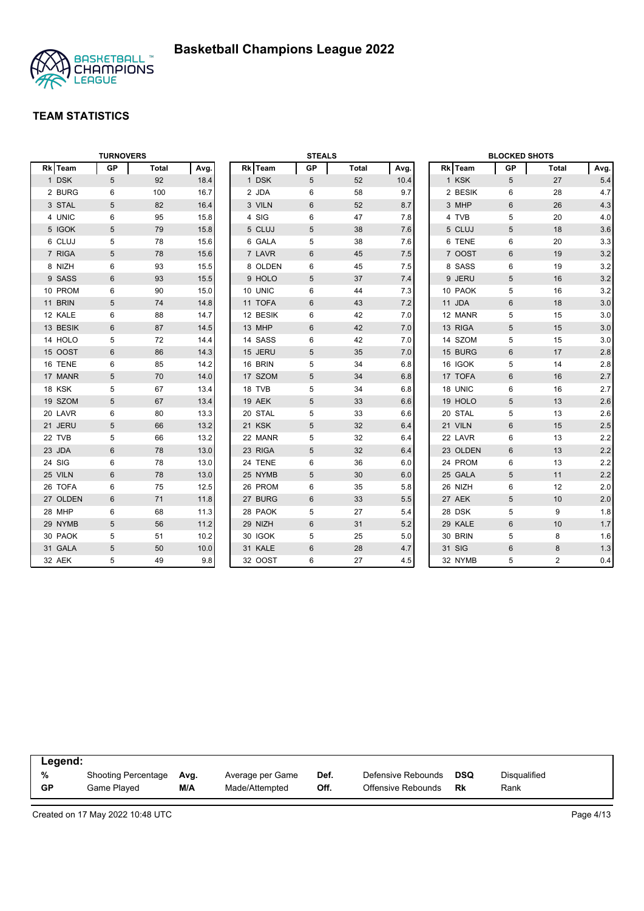

|          | <b>TURNOVERS</b> |              |      |          | <b>STEALS</b> |              |      |          | <b>BLOCKED SHOTS</b> |                |      |
|----------|------------------|--------------|------|----------|---------------|--------------|------|----------|----------------------|----------------|------|
| Rk Team  | <b>GP</b>        | <b>Total</b> | Avg. | Rk Team  | GP            | <b>Total</b> | Avg. | Rk Team  | GP                   | Total          | Avg. |
| 1 DSK    | 5                | 92           | 18.4 | 1 DSK    | 5             | 52           | 10.4 | 1 KSK    | 5                    | 27             | 5.4  |
| 2 BURG   | 6                | 100          | 16.7 | 2 JDA    | 6             | 58           | 9.7  | 2 BESIK  | 6                    | 28             | 4.7  |
| 3 STAL   | 5                | 82           | 16.4 | 3 VILN   | 6             | 52           | 8.7  | 3 MHP    | 6                    | 26             | 4.3  |
| 4 UNIC   | 6                | 95           | 15.8 | 4 SIG    | 6             | 47           | 7.8  | 4 TVB    | 5                    | 20             | 4.0  |
| 5 IGOK   | 5                | 79           | 15.8 | 5 CLUJ   | 5             | 38           | 7.6  | 5 CLUJ   | 5                    | 18             | 3.6  |
| 6 CLUJ   | 5                | 78           | 15.6 | 6 GALA   | 5             | 38           | 7.6  | 6 TENE   | 6                    | 20             | 3.3  |
| 7 RIGA   | 5                | 78           | 15.6 | 7 LAVR   | 6             | 45           | 7.5  | 7 OOST   | 6                    | 19             | 3.2  |
| 8 NIZH   | 6                | 93           | 15.5 | 8 OLDEN  | 6             | 45           | 7.5  | 8 SASS   | 6                    | 19             | 3.2  |
| 9 SASS   | $6\phantom{1}$   | 93           | 15.5 | 9 HOLO   | 5             | 37           | 7.4  | 9 JERU   | $\overline{5}$       | 16             | 3.2  |
| 10 PROM  | 6                | 90           | 15.0 | 10 UNIC  | 6             | 44           | 7.3  | 10 PAOK  | 5                    | 16             | 3.2  |
| 11 BRIN  | 5                | 74           | 14.8 | 11 TOFA  | 6             | 43           | 7.2  | 11 JDA   | $6\phantom{1}$       | 18             | 3.0  |
| 12 KALE  | 6                | 88           | 14.7 | 12 BESIK | 6             | 42           | 7.0  | 12 MANR  | 5                    | 15             | 3.0  |
| 13 BESIK | $6\phantom{1}$   | 87           | 14.5 | 13 MHP   | 6             | 42           | 7.0  | 13 RIGA  | 5                    | 15             | 3.0  |
| 14 HOLO  | 5                | 72           | 14.4 | 14 SASS  | 6             | 42           | 7.0  | 14 SZOM  | 5                    | 15             | 3.0  |
| 15 OOST  | 6                | 86           | 14.3 | 15 JERU  | 5             | 35           | 7.0  | 15 BURG  | $6\phantom{1}$       | 17             | 2.8  |
| 16 TENE  | 6                | 85           | 14.2 | 16 BRIN  | 5             | 34           | 6.8  | 16 IGOK  | 5                    | 14             | 2.8  |
| 17 MANR  | 5                | 70           | 14.0 | 17 SZOM  | 5             | 34           | 6.8  | 17 TOFA  | 6                    | 16             | 2.7  |
| 18 KSK   | 5                | 67           | 13.4 | 18 TVB   | 5             | 34           | 6.8  | 18 UNIC  | 6                    | 16             | 2.7  |
| 19 SZOM  | 5                | 67           | 13.4 | 19 AEK   | 5             | 33           | 6.6  | 19 HOLO  | 5                    | 13             | 2.6  |
| 20 LAVR  | 6                | 80           | 13.3 | 20 STAL  | 5             | 33           | 6.6  | 20 STAL  | 5                    | 13             | 2.6  |
| 21 JERU  | 5                | 66           | 13.2 | 21 KSK   | 5             | 32           | 6.4  | 21 VILN  | 6                    | 15             | 2.5  |
| 22 TVB   | 5                | 66           | 13.2 | 22 MANR  | 5             | 32           | 6.4  | 22 LAVR  | 6                    | 13             | 2.2  |
| 23 JDA   | 6                | 78           | 13.0 | 23 RIGA  | 5             | 32           | 6.4  | 23 OLDEN | 6                    | 13             | 2.2  |
| 24 SIG   | 6                | 78           | 13.0 | 24 TENE  | 6             | 36           | 6.0  | 24 PROM  | 6                    | 13             | 2.2  |
| 25 VILN  | $6\phantom{1}$   | 78           | 13.0 | 25 NYMB  | 5             | 30           | 6.0  | 25 GALA  | 5                    | 11             | 2.2  |
| 26 TOFA  | 6                | 75           | 12.5 | 26 PROM  | 6             | 35           | 5.8  | 26 NIZH  | $\,6\,$              | 12             | 2.0  |
| 27 OLDEN | $6\phantom{1}$   | 71           | 11.8 | 27 BURG  | 6             | 33           | 5.5  | 27 AEK   | 5                    | 10             | 2.0  |
| 28 MHP   | 6                | 68           | 11.3 | 28 PAOK  | 5             | 27           | 5.4  | 28 DSK   | 5                    | 9              | 1.8  |
| 29 NYMB  | 5                | 56           | 11.2 | 29 NIZH  | 6             | 31           | 5.2  | 29 KALE  | $6\phantom{1}$       | 10             | 1.7  |
| 30 PAOK  | 5                | 51           | 10.2 | 30 IGOK  | 5             | 25           | 5.0  | 30 BRIN  | 5                    | 8              | 1.6  |
| 31 GALA  | 5                | 50           | 10.0 | 31 KALE  | $6\,$         | 28           | 4.7  | 31 SIG   | $6\phantom{1}6$      | 8              | 1.3  |
| 32 AEK   | 5                | 49           | 9.8  | 32 OOST  | 6             | 27           | 4.5  | 32 NYMB  | 5                    | $\overline{2}$ | 0.4  |

| Legend:   |                            |      |                  |      |                    |            |              |
|-----------|----------------------------|------|------------------|------|--------------------|------------|--------------|
| %         | <b>Shooting Percentage</b> | Avg. | Average per Game | Def. | Defensive Rebounds | <b>DSQ</b> | Disqualified |
| <b>GP</b> | Game Played                | M/A  | Made/Attempted   | Off. | Offensive Rebounds | Rk         | Rank         |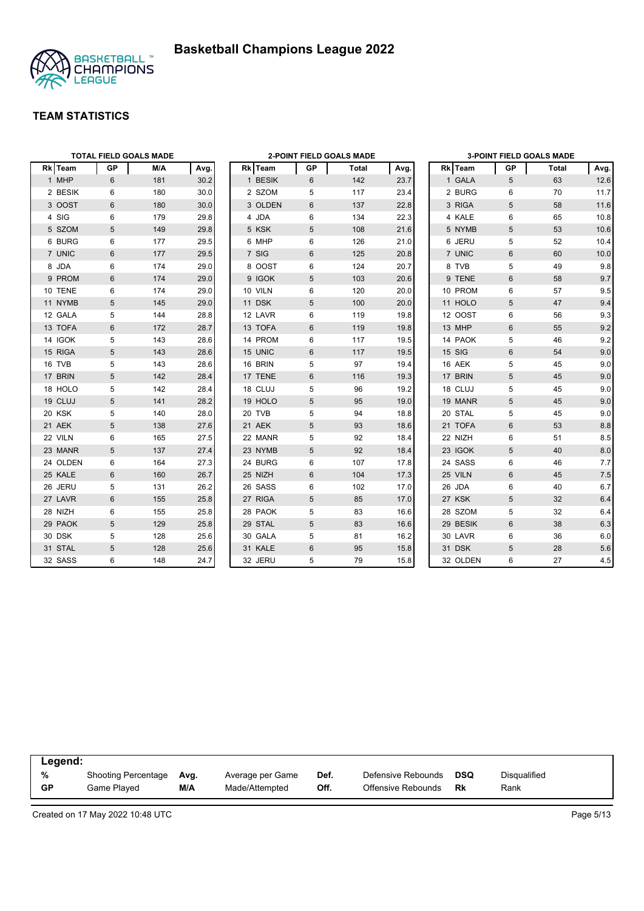



|          |                | <b>TOTAL FIELD GOALS MADE</b> |      |         |    | <b>2-POINT FIELD GOALS MADE</b> |      |               |                | <b>3-POINT FIELD GOALS MADE</b> |      |
|----------|----------------|-------------------------------|------|---------|----|---------------------------------|------|---------------|----------------|---------------------------------|------|
| Rk Team  | <b>GP</b>      | M/A                           | Avg. | Rk Team | GP | Total                           | Avg. | Rk Team       | GР             | Total                           | Avg. |
| 1 MHP    | 6              | 181                           | 30.2 | 1 BESIK | 6  | 142                             | 23.7 | 1 GALA        | 5              | 63                              | 12.6 |
| 2 BESIK  | 6              | 180                           | 30.0 | 2 SZOM  | 5  | 117                             | 23.4 | 2 BURG        | 6              | 70                              | 11.7 |
| 3 OOST   | $6\phantom{1}$ | 180                           | 30.0 | 3 OLDEN | 6  | 137                             | 22.8 | 3 RIGA        | 5              | 58                              | 11.6 |
| 4 SIG    | 6              | 179                           | 29.8 | 4 JDA   | 6  | 134                             | 22.3 | 4 KALE        | 6              | 65                              | 10.8 |
| 5 SZOM   | 5              | 149                           | 29.8 | 5 KSK   | 5  | 108                             | 21.6 | 5 NYMB        | 5              | 53                              | 10.6 |
| 6 BURG   | 6              | 177                           | 29.5 | 6 MHP   | 6  | 126                             | 21.0 | 6 JERU        | 5              | 52                              | 10.4 |
| 7 UNIC   | 6              | 177                           | 29.5 | 7 SIG   | 6  | 125                             | 20.8 | 7 UNIC        | 6              | 60                              | 10.0 |
| 8 JDA    | 6              | 174                           | 29.0 | 8 OOST  | 6  | 124                             | 20.7 | 8 TVB         | 5              | 49                              | 9.8  |
| 9 PROM   | 6              | 174                           | 29.0 | 9 IGOK  | 5  | 103                             | 20.6 | 9 TENE        | 6              | 58                              | 9.7  |
| 10 TENE  | 6              | 174                           | 29.0 | 10 VILN | 6  | 120                             | 20.0 | 10 PROM       | 6              | 57                              | 9.5  |
| 11 NYMB  | 5              | 145                           | 29.0 | 11 DSK  | 5  | 100                             | 20.0 | 11 HOLO       | 5              | 47                              | 9.4  |
| 12 GALA  | 5              | 144                           | 28.8 | 12 LAVR | 6  | 119                             | 19.8 | 12 OOST       | 6              | 56                              | 9.3  |
| 13 TOFA  | $6\phantom{1}$ | 172                           | 28.7 | 13 TOFA | 6  | 119                             | 19.8 | 13 MHP        | $6\phantom{1}$ | 55                              | 9.2  |
| 14 IGOK  | 5              | 143                           | 28.6 | 14 PROM | 6  | 117                             | 19.5 | 14 PAOK       | 5              | 46                              | 9.2  |
| 15 RIGA  | 5              | 143                           | 28.6 | 15 UNIC | 6  | 117                             | 19.5 | <b>15 SIG</b> | 6              | 54                              | 9.0  |
| 16 TVB   | 5              | 143                           | 28.6 | 16 BRIN | 5  | 97                              | 19.4 | 16 AEK        | 5              | 45                              | 9.0  |
| 17 BRIN  | 5              | 142                           | 28.4 | 17 TENE | 6  | 116                             | 19.3 | 17 BRIN       | 5              | 45                              | 9.0  |
| 18 HOLO  | 5              | 142                           | 28.4 | 18 CLUJ | 5  | 96                              | 19.2 | 18 CLUJ       | 5              | 45                              | 9.0  |
| 19 CLUJ  | 5              | 141                           | 28.2 | 19 HOLO | 5  | 95                              | 19.0 | 19 MANR       | 5              | 45                              | 9.0  |
| 20 KSK   | 5              | 140                           | 28.0 | 20 TVB  | 5  | 94                              | 18.8 | 20 STAL       | 5              | 45                              | 9.0  |
| 21 AEK   | 5              | 138                           | 27.6 | 21 AEK  | 5  | 93                              | 18.6 | 21 TOFA       | 6              | 53                              | 8.8  |
| 22 VILN  | 6              | 165                           | 27.5 | 22 MANR | 5  | 92                              | 18.4 | 22 NIZH       | 6              | 51                              | 8.5  |
| 23 MANR  | 5              | 137                           | 27.4 | 23 NYMB | 5  | 92                              | 18.4 | 23 IGOK       | 5              | 40                              | 8.0  |
| 24 OLDEN | 6              | 164                           | 27.3 | 24 BURG | 6  | 107                             | 17.8 | 24 SASS       | 6              | 46                              | 7.7  |
| 25 KALE  | $6\phantom{1}$ | 160                           | 26.7 | 25 NIZH | 6  | 104                             | 17.3 | 25 VILN       | 6              | 45                              | 7.5  |
| 26 JERU  | 5              | 131                           | 26.2 | 26 SASS | 6  | 102                             | 17.0 | 26 JDA        | 6              | 40                              | 6.7  |
| 27 LAVR  | $6\phantom{1}$ | 155                           | 25.8 | 27 RIGA | 5  | 85                              | 17.0 | 27 KSK        | 5              | 32                              | 6.4  |
| 28 NIZH  | 6              | 155                           | 25.8 | 28 PAOK | 5  | 83                              | 16.6 | 28 SZOM       | 5              | 32                              | 6.4  |
| 29 PAOK  | 5              | 129                           | 25.8 | 29 STAL | 5  | 83                              | 16.6 | 29 BESIK      | 6              | 38                              | 6.3  |
| 30 DSK   | 5              | 128                           | 25.6 | 30 GALA | 5  | 81                              | 16.2 | 30 LAVR       | 6              | 36                              | 6.0  |
| 31 STAL  | 5              | 128                           | 25.6 | 31 KALE | 6  | 95                              | 15.8 | 31 DSK        | 5              | 28                              | 5.6  |
| 32 SASS  | 6              | 148                           | 24.7 | 32 JERU | 5  | 79                              | 15.8 | 32 OLDEN      | 6              | 27                              | 4.5  |

| Legend:   |                            |      |                  |      |                    |            |              |  |
|-----------|----------------------------|------|------------------|------|--------------------|------------|--------------|--|
| %         | <b>Shooting Percentage</b> | Avg. | Average per Game | Def. | Defensive Rebounds | <b>DSQ</b> | Disqualified |  |
| <b>GP</b> | Game Played                | M/A  | Made/Attempted   | Off. | Offensive Rebounds | Rk         | Rank         |  |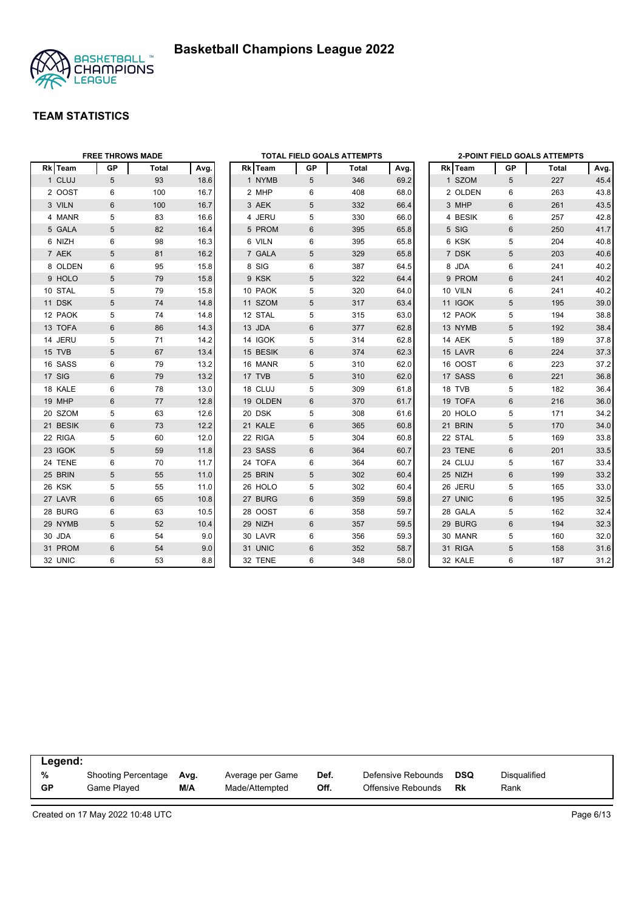



|          | <b>FREE THROWS MADE</b> |              |      |          |                 | TOTAL FIELD GOALS ATTEMPTS |      |         |           | 2-POINT FIELD GOALS ATTEMPTS |      |
|----------|-------------------------|--------------|------|----------|-----------------|----------------------------|------|---------|-----------|------------------------------|------|
| Rk Team  | <b>GP</b>               | <b>Total</b> | Avg. | Rk Team  | GP              | Total                      | Avg. | Rk Team | <b>GP</b> | Total                        | Avg. |
| 1 CLUJ   | 5                       | 93           | 18.6 | 1 NYMB   | $5\overline{)}$ | 346                        | 69.2 | 1 SZOM  | 5         | 227                          | 45.4 |
| 2 OOST   | 6                       | 100          | 16.7 | 2 MHP    | 6               | 408                        | 68.0 | 2 OLDEN | 6         | 263                          | 43.8 |
| 3 VILN   | 6                       | 100          | 16.7 | 3 AEK    | 5               | 332                        | 66.4 | 3 MHP   | 6         | 261                          | 43.5 |
| 4 MANR   | 5                       | 83           | 16.6 | 4 JERU   | 5               | 330                        | 66.0 | 4 BESIK | 6         | 257                          | 42.8 |
| 5 GALA   | 5                       | 82           | 16.4 | 5 PROM   | 6               | 395                        | 65.8 | 5 SIG   | 6         | 250                          | 41.7 |
| 6 NIZH   | 6                       | 98           | 16.3 | 6 VILN   | 6               | 395                        | 65.8 | 6 KSK   | 5         | 204                          | 40.8 |
| 7 AEK    | 5                       | 81           | 16.2 | 7 GALA   | 5               | 329                        | 65.8 | 7 DSK   | 5         | 203                          | 40.6 |
| 8 OLDEN  | 6                       | 95           | 15.8 | 8 SIG    | 6               | 387                        | 64.5 | 8 JDA   | 6         | 241                          | 40.2 |
| 9 HOLO   | 5                       | 79           | 15.8 | 9 KSK    | 5               | 322                        | 64.4 | 9 PROM  | 6         | 241                          | 40.2 |
| 10 STAL  | 5                       | 79           | 15.8 | 10 PAOK  | 5               | 320                        | 64.0 | 10 VILN | 6         | 241                          | 40.2 |
| 11 DSK   | 5                       | 74           | 14.8 | 11 SZOM  | 5               | 317                        | 63.4 | 11 IGOK | 5         | 195                          | 39.0 |
| 12 PAOK  | 5                       | 74           | 14.8 | 12 STAL  | 5               | 315                        | 63.0 | 12 PAOK | 5         | 194                          | 38.8 |
| 13 TOFA  | 6                       | 86           | 14.3 | 13 JDA   | 6               | 377                        | 62.8 | 13 NYMB | 5         | 192                          | 38.4 |
| 14 JERU  | 5                       | 71           | 14.2 | 14 IGOK  | 5               | 314                        | 62.8 | 14 AEK  | 5         | 189                          | 37.8 |
| 15 TVB   | 5                       | 67           | 13.4 | 15 BESIK | 6               | 374                        | 62.3 | 15 LAVR | 6         | 224                          | 37.3 |
| 16 SASS  | 6                       | 79           | 13.2 | 16 MANR  | 5               | 310                        | 62.0 | 16 OOST | 6         | 223                          | 37.2 |
| 17 SIG   | 6                       | 79           | 13.2 | 17 TVB   | 5               | 310                        | 62.0 | 17 SASS | 6         | 221                          | 36.8 |
| 18 KALE  | 6                       | 78           | 13.0 | 18 CLUJ  | 5               | 309                        | 61.8 | 18 TVB  | 5         | 182                          | 36.4 |
| 19 MHP   | 6                       | 77           | 12.8 | 19 OLDEN | 6               | 370                        | 61.7 | 19 TOFA | 6         | 216                          | 36.0 |
| 20 SZOM  | 5                       | 63           | 12.6 | 20 DSK   | 5               | 308                        | 61.6 | 20 HOLO | 5         | 171                          | 34.2 |
| 21 BESIK | 6                       | 73           | 12.2 | 21 KALE  | 6               | 365                        | 60.8 | 21 BRIN | 5         | 170                          | 34.0 |
| 22 RIGA  | 5                       | 60           | 12.0 | 22 RIGA  | 5               | 304                        | 60.8 | 22 STAL | 5         | 169                          | 33.8 |
| 23 IGOK  | 5                       | 59           | 11.8 | 23 SASS  | 6               | 364                        | 60.7 | 23 TENE | $6\,$     | 201                          | 33.5 |
| 24 TENE  | 6                       | 70           | 11.7 | 24 TOFA  | 6               | 364                        | 60.7 | 24 CLUJ | 5         | 167                          | 33.4 |
| 25 BRIN  | 5                       | 55           | 11.0 | 25 BRIN  | 5               | 302                        | 60.4 | 25 NIZH | 6         | 199                          | 33.2 |
| 26 KSK   | 5                       | 55           | 11.0 | 26 HOLO  | 5               | 302                        | 60.4 | 26 JERU | 5         | 165                          | 33.0 |
| 27 LAVR  | 6                       | 65           | 10.8 | 27 BURG  | 6               | 359                        | 59.8 | 27 UNIC | 6         | 195                          | 32.5 |
| 28 BURG  | 6                       | 63           | 10.5 | 28 OOST  | 6               | 358                        | 59.7 | 28 GALA | 5         | 162                          | 32.4 |
| 29 NYMB  | 5                       | 52           | 10.4 | 29 NIZH  | 6               | 357                        | 59.5 | 29 BURG | 6         | 194                          | 32.3 |
| 30 JDA   | 6                       | 54           | 9.0  | 30 LAVR  | 6               | 356                        | 59.3 | 30 MANR | 5         | 160                          | 32.0 |
| 31 PROM  | 6                       | 54           | 9.0  | 31 UNIC  | 6               | 352                        | 58.7 | 31 RIGA | 5         | 158                          | 31.6 |
| 32 UNIC  | 6                       | 53           | 8.8  | 32 TENE  | 6               | 348                        | 58.0 | 32 KALE | 6         | 187                          | 31.2 |

| Legend:   |                            |      |                  |      |                    |     |              |  |
|-----------|----------------------------|------|------------------|------|--------------------|-----|--------------|--|
| %         | <b>Shooting Percentage</b> | Avg. | Average per Game | Def. | Defensive Rebounds | DSQ | Disgualified |  |
| <b>GP</b> | Game Played                | M/A  | Made/Attempted   | Off. | Offensive Rebounds | Rk  | Rank         |  |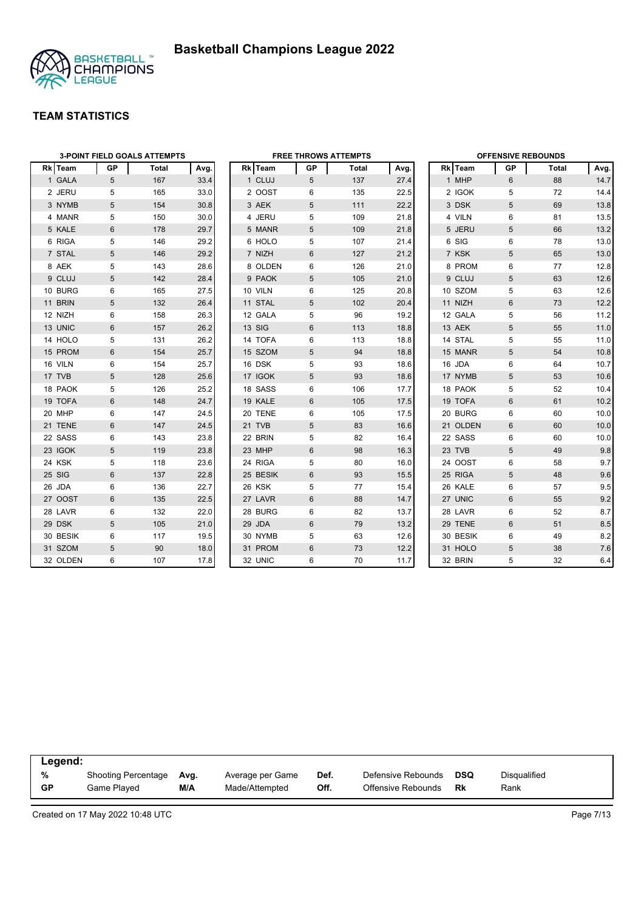

|                | <b>3-POINT FIELD GOALS ATTEMPTS</b> |       |      | <b>FREE THROWS ATTEMPTS</b> |    |       |      |  | <b>OFFENSIVE REBOUNDS</b> |    |              |      |  |
|----------------|-------------------------------------|-------|------|-----------------------------|----|-------|------|--|---------------------------|----|--------------|------|--|
| <b>Rk</b> Team | GP                                  | Total | Avg. | Rk Team                     | GP | Total | Avg. |  | Rk Team                   | GP | <b>Total</b> | Avg. |  |
| 1 GALA         | 5                                   | 167   | 33.4 | 1 CLUJ                      | 5  | 137   | 27.4 |  | 1 MHP                     | 6  | 88           | 14.7 |  |
| 2 JERU         | 5                                   | 165   | 33.0 | 2 OOST                      | 6  | 135   | 22.5 |  | 2 IGOK                    | 5  | 72           | 14.4 |  |
| 3 NYMB         | 5                                   | 154   | 30.8 | 3 AEK                       | 5  | 111   | 22.2 |  | 3 DSK                     | 5  | 69           | 13.8 |  |
| 4 MANR         | 5                                   | 150   | 30.0 | 4 JERU                      | 5  | 109   | 21.8 |  | 4 VILN                    | 6  | 81           | 13.5 |  |
| 5 KALE         | 6                                   | 178   | 29.7 | 5 MANR                      | 5  | 109   | 21.8 |  | 5 JERU                    | 5  | 66           | 13.2 |  |
| 6 RIGA         | 5                                   | 146   | 29.2 | 6 HOLO                      | 5  | 107   | 21.4 |  | 6 SIG                     | 6  | 78           | 13.0 |  |
| 7 STAL         | 5                                   | 146   | 29.2 | 7 NIZH                      | 6  | 127   | 21.2 |  | 7 KSK                     | 5  | 65           | 13.0 |  |
| 8 AEK          | 5                                   | 143   | 28.6 | 8 OLDEN                     | 6  | 126   | 21.0 |  | 8 PROM                    | 6  | 77           | 12.8 |  |
| 9 CLUJ         | 5                                   | 142   | 28.4 | 9 PAOK                      | 5  | 105   | 21.0 |  | 9 CLUJ                    | 5  | 63           | 12.6 |  |
| 10 BURG        | 6                                   | 165   | 27.5 | 10 VILN                     | 6  | 125   | 20.8 |  | 10 SZOM                   | 5  | 63           | 12.6 |  |
| 11 BRIN        | 5                                   | 132   | 26.4 | 11 STAL                     | 5  | 102   | 20.4 |  | 11 NIZH                   | 6  | 73           | 12.2 |  |
| 12 NIZH        | 6                                   | 158   | 26.3 | 12 GALA                     | 5  | 96    | 19.2 |  | 12 GALA                   | 5  | 56           | 11.2 |  |
| 13 UNIC        | 6                                   | 157   | 26.2 | <b>13 SIG</b>               | 6  | 113   | 18.8 |  | 13 AEK                    | 5  | 55           | 11.0 |  |
| 14 HOLO        | 5                                   | 131   | 26.2 | 14 TOFA                     | 6  | 113   | 18.8 |  | 14 STAL                   | 5  | 55           | 11.0 |  |
| 15 PROM        | 6                                   | 154   | 25.7 | 15 SZOM                     | 5  | 94    | 18.8 |  | 15 MANR                   | 5  | 54           | 10.8 |  |
| 16 VILN        | 6                                   | 154   | 25.7 | 16 DSK                      | 5  | 93    | 18.6 |  | 16 JDA                    | 6  | 64           | 10.7 |  |
| 17 TVB         | 5                                   | 128   | 25.6 | 17 IGOK                     | 5  | 93    | 18.6 |  | 17 NYMB                   | 5  | 53           | 10.6 |  |
| 18 PAOK        | 5                                   | 126   | 25.2 | 18 SASS                     | 6  | 106   | 17.7 |  | 18 PAOK                   | 5  | 52           | 10.4 |  |
| 19 TOFA        | 6                                   | 148   | 24.7 | 19 KALE                     | 6  | 105   | 17.5 |  | 19 TOFA                   | 6  | 61           | 10.2 |  |
| 20 MHP         | 6                                   | 147   | 24.5 | 20 TENE                     | 6  | 105   | 17.5 |  | 20 BURG                   | 6  | 60           | 10.0 |  |
| 21 TENE        | 6                                   | 147   | 24.5 | 21 TVB                      | 5  | 83    | 16.6 |  | 21 OLDEN                  | 6  | 60           | 10.0 |  |
| 22 SASS        | 6                                   | 143   | 23.8 | 22 BRIN                     | 5  | 82    | 16.4 |  | 22 SASS                   | 6  | 60           | 10.0 |  |
| 23 IGOK        | 5                                   | 119   | 23.8 | 23 MHP                      | 6  | 98    | 16.3 |  | 23 TVB                    | 5  | 49           | 9.8  |  |
| 24 KSK         | 5                                   | 118   | 23.6 | 24 RIGA                     | 5  | 80    | 16.0 |  | 24 OOST                   | 6  | 58           | 9.7  |  |
| 25 SIG         | $6\phantom{1}$                      | 137   | 22.8 | 25 BESIK                    | 6  | 93    | 15.5 |  | 25 RIGA                   | 5  | 48           | 9.6  |  |
| 26 JDA         | 6                                   | 136   | 22.7 | 26 KSK                      | 5  | 77    | 15.4 |  | 26 KALE                   | 6  | 57           | 9.5  |  |
| 27 OOST        | $6\phantom{1}$                      | 135   | 22.5 | 27 LAVR                     | 6  | 88    | 14.7 |  | 27 UNIC                   | 6  | 55           | 9.2  |  |
| 28 LAVR        | 6                                   | 132   | 22.0 | 28 BURG                     | 6  | 82    | 13.7 |  | 28 LAVR                   | 6  | 52           | 8.7  |  |
| 29 DSK         | 5                                   | 105   | 21.0 | 29 JDA                      | 6  | 79    | 13.2 |  | 29 TENE                   | 6  | 51           | 8.5  |  |
| 30 BESIK       | 6                                   | 117   | 19.5 | 30 NYMB                     | 5  | 63    | 12.6 |  | 30 BESIK                  | 6  | 49           | 8.2  |  |
| 31 SZOM        | 5                                   | 90    | 18.0 | 31 PROM                     | 6  | 73    | 12.2 |  | 31 HOLO                   | 5  | 38           | 7.6  |  |
| 32 OLDEN       | 6                                   | 107   | 17.8 | 32 UNIC                     | 6  | 70    | 11.7 |  | 32 BRIN                   | 5  | 32           | 6.4  |  |

| Legend: |                     |      |                  |      |                    |     |              |  |
|---------|---------------------|------|------------------|------|--------------------|-----|--------------|--|
| %       | Shooting Percentage | Avg. | Average per Game | Def. | Defensive Rebounds | DSQ | Disqualified |  |
| GP      | Game Plaved         | M/A  | Made/Attempted   | Off. | Offensive Rebounds | Rk  | Rank         |  |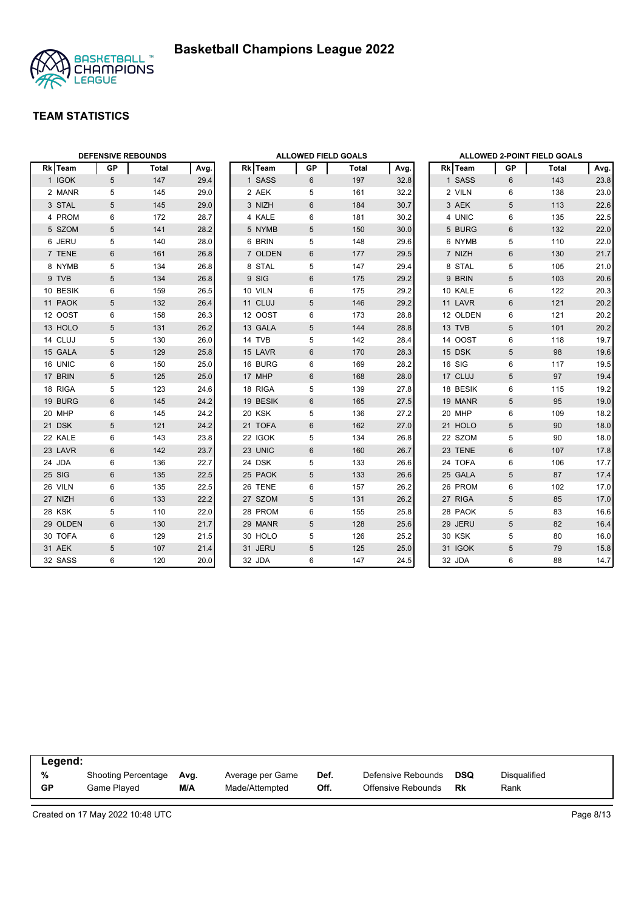



| <b>DEFENSIVE REBOUNDS</b> |                 |              |      | <b>ALLOWED FIELD GOALS</b> |    |       |      |  | <b>ALLOWED 2-POINT FIELD GOALS</b> |                 |       |      |  |
|---------------------------|-----------------|--------------|------|----------------------------|----|-------|------|--|------------------------------------|-----------------|-------|------|--|
| Rk Team                   | <b>GP</b>       | <b>Total</b> | Avg. | Rk Team                    | GP | Total | Avg. |  | <b>Rk</b> Team                     | GP              | Total | Avg. |  |
| 1 IGOK                    | 5               | 147          | 29.4 | 1 SASS                     | 6  | 197   | 32.8 |  | 1 SASS                             | 6               | 143   | 23.8 |  |
| 2 MANR                    | 5               | 145          | 29.0 | 2 AEK                      | 5  | 161   | 32.2 |  | 2 VILN                             | 6               | 138   | 23.0 |  |
| 3 STAL                    | 5               | 145          | 29.0 | 3 NIZH                     | 6  | 184   | 30.7 |  | 3 AEK                              | 5               | 113   | 22.6 |  |
| 4 PROM                    | 6               | 172          | 28.7 | 4 KALE                     | 6  | 181   | 30.2 |  | 4 UNIC                             | 6               | 135   | 22.5 |  |
| 5 SZOM                    | 5               | 141          | 28.2 | 5 NYMB                     | 5  | 150   | 30.0 |  | 5 BURG                             | $6\phantom{1}$  | 132   | 22.0 |  |
| 6 JERU                    | 5               | 140          | 28.0 | 6 BRIN                     | 5  | 148   | 29.6 |  | 6 NYMB                             | 5               | 110   | 22.0 |  |
| 7 TENE                    | 6               | 161          | 26.8 | 7 OLDEN                    | 6  | 177   | 29.5 |  | 7 NIZH                             | $\,6\,$         | 130   | 21.7 |  |
| 8 NYMB                    | 5               | 134          | 26.8 | 8 STAL                     | 5  | 147   | 29.4 |  | 8 STAL                             | 5               | 105   | 21.0 |  |
| 9 TVB                     | 5               | 134          | 26.8 | 9 SIG                      | 6  | 175   | 29.2 |  | 9 BRIN                             | 5               | 103   | 20.6 |  |
| 10 BESIK                  | 6               | 159          | 26.5 | 10 VILN                    | 6  | 175   | 29.2 |  | 10 KALE                            | 6               | 122   | 20.3 |  |
| 11 PAOK                   | 5               | 132          | 26.4 | 11 CLUJ                    | 5  | 146   | 29.2 |  | 11 LAVR                            | 6               | 121   | 20.2 |  |
| 12 OOST                   | 6               | 158          | 26.3 | 12 OOST                    | 6  | 173   | 28.8 |  | 12 OLDEN                           | 6               | 121   | 20.2 |  |
| 13 HOLO                   | 5               | 131          | 26.2 | 13 GALA                    | 5  | 144   | 28.8 |  | 13 TVB                             | 5               | 101   | 20.2 |  |
| 14 CLUJ                   | 5               | 130          | 26.0 | 14 TVB                     | 5  | 142   | 28.4 |  | 14 OOST                            | 6               | 118   | 19.7 |  |
| 15 GALA                   | 5               | 129          | 25.8 | 15 LAVR                    | 6  | 170   | 28.3 |  | 15 DSK                             | 5               | 98    | 19.6 |  |
| 16 UNIC                   | 6               | 150          | 25.0 | 16 BURG                    | 6  | 169   | 28.2 |  | 16 SIG                             | 6               | 117   | 19.5 |  |
| 17 BRIN                   | 5               | 125          | 25.0 | 17 MHP                     | 6  | 168   | 28.0 |  | 17 CLUJ                            | 5               | 97    | 19.4 |  |
| 18 RIGA                   | 5               | 123          | 24.6 | 18 RIGA                    | 5  | 139   | 27.8 |  | 18 BESIK                           | 6               | 115   | 19.2 |  |
| 19 BURG                   | 6               | 145          | 24.2 | 19 BESIK                   | 6  | 165   | 27.5 |  | 19 MANR                            | 5               | 95    | 19.0 |  |
| 20 MHP                    | 6               | 145          | 24.2 | 20 KSK                     | 5  | 136   | 27.2 |  | 20 MHP                             | 6               | 109   | 18.2 |  |
| 21 DSK                    | 5               | 121          | 24.2 | 21 TOFA                    | 6  | 162   | 27.0 |  | 21 HOLO                            | 5               | 90    | 18.0 |  |
| 22 KALE                   | 6               | 143          | 23.8 | 22 IGOK                    | 5  | 134   | 26.8 |  | 22 SZOM                            | 5               | 90    | 18.0 |  |
| 23 LAVR                   | $6\phantom{1}6$ | 142          | 23.7 | 23 UNIC                    | 6  | 160   | 26.7 |  | 23 TENE                            | $6\phantom{1}$  | 107   | 17.8 |  |
| 24 JDA                    | 6               | 136          | 22.7 | 24 DSK                     | 5  | 133   | 26.6 |  | 24 TOFA                            | 6               | 106   | 17.7 |  |
| 25 SIG                    | 6               | 135          | 22.5 | 25 PAOK                    | 5  | 133   | 26.6 |  | 25 GALA                            | 5               | 87    | 17.4 |  |
| 26 VILN                   | 6               | 135          | 22.5 | 26 TENE                    | 6  | 157   | 26.2 |  | 26 PROM                            | 6               | 102   | 17.0 |  |
| 27 NIZH                   | $6\phantom{1}$  | 133          | 22.2 | 27 SZOM                    | 5  | 131   | 26.2 |  | 27 RIGA                            | $5\phantom{.0}$ | 85    | 17.0 |  |
| 28 KSK                    | 5               | 110          | 22.0 | 28 PROM                    | 6  | 155   | 25.8 |  | 28 PAOK                            | 5               | 83    | 16.6 |  |
| 29 OLDEN                  | 6               | 130          | 21.7 | 29 MANR                    | 5  | 128   | 25.6 |  | 29 JERU                            | 5               | 82    | 16.4 |  |
| 30 TOFA                   | 6               | 129          | 21.5 | 30 HOLO                    | 5  | 126   | 25.2 |  | <b>30 KSK</b>                      | 5               | 80    | 16.0 |  |
| 31 AEK                    | 5               | 107          | 21.4 | 31 JERU                    | 5  | 125   | 25.0 |  | 31 IGOK                            | 5               | 79    | 15.8 |  |
| 32 SASS                   | 6               | 120          | 20.0 | 32 JDA                     | 6  | 147   | 24.5 |  | 32 JDA                             | 6               | 88    | 14.7 |  |

| Legend:   |                            |      |                  |      |                    |            |                     |
|-----------|----------------------------|------|------------------|------|--------------------|------------|---------------------|
| %         | <b>Shooting Percentage</b> | Avg. | Average per Game | Def. | Defensive Rebounds | <b>DSQ</b> | <b>Disqualified</b> |
| <b>GP</b> | Game Played                | M/A  | Made/Attempted   | Off. | Offensive Rebounds | Rk         | Rank                |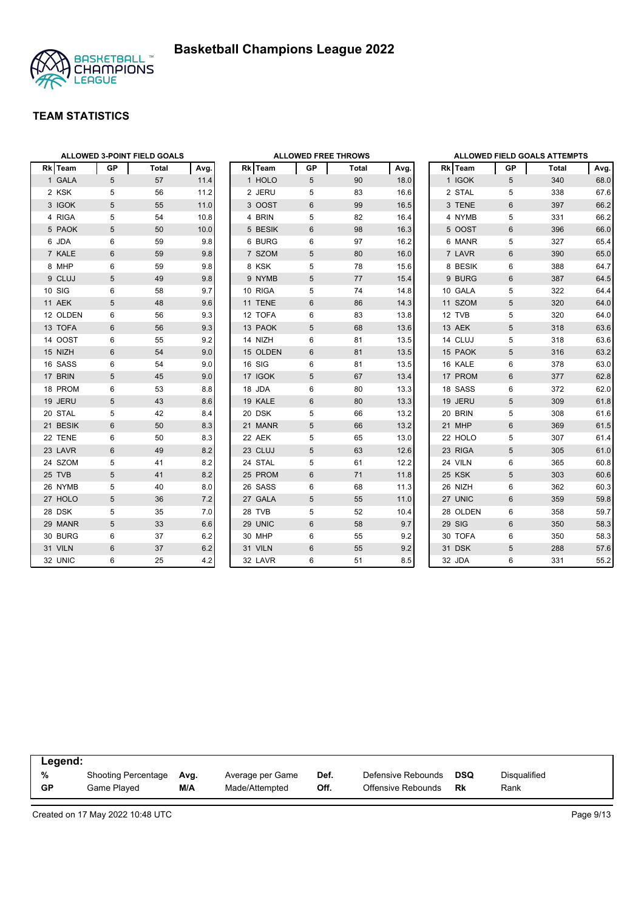

#### **TEAM STATISTICS**

|          |                 | <b>ALLOWED 3-POINT FIELD GOALS</b> |      | <b>ALLOWED FREE THROWS</b> |          |                |       |                 |  |  |
|----------|-----------------|------------------------------------|------|----------------------------|----------|----------------|-------|-----------------|--|--|
| Rk Team  | <b>GP</b>       | Total                              | Avg. |                            | Rk Team  | <b>GP</b>      | Total | Avg.            |  |  |
| 1 GALA   | 5               | 57                                 | 11.4 |                            | 1 HOLO   | 5              | 90    | 18 <sub>c</sub> |  |  |
| 2 KSK    | 5               | 56                                 | 11.2 |                            | 2 JERU   | 5              | 83    | 16.6            |  |  |
| 3 IGOK   | 5               | 55                                 | 11.0 |                            | 3 OOST   | $6\phantom{1}$ | 99    | 16.5            |  |  |
| 4 RIGA   | 5               | 54                                 | 10.8 |                            | 4 BRIN   | 5              | 82    | 16.4            |  |  |
| 5 PAOK   | 5               | 50                                 | 10.0 |                            | 5 BESIK  | $6\,$          | 98    | 16.3            |  |  |
| 6 JDA    | 6               | 59                                 | 9.8  |                            | 6 BURG   | 6              | 97    | 16.2            |  |  |
| 7 KALE   | $\,6\,$         | 59                                 | 9.8  |                            | 7 SZOM   | $\sqrt{5}$     | 80    | 16 <sub>c</sub> |  |  |
| 8 MHP    | 6               | 59                                 | 9.8  |                            | 8 KSK    | 5              | 78    | 15.6            |  |  |
| 9 CLUJ   | 5               | 49                                 | 9.8  |                            | 9 NYMB   | 5              | 77    | 15.4            |  |  |
| 10 SIG   | 6               | 58                                 | 9.7  |                            | 10 RIGA  | 5              | 74    | 14.8            |  |  |
| 11 AEK   | 5               | 48                                 | 9.6  |                            | 11 TENE  | $6\phantom{1}$ | 86    | 14.3            |  |  |
| 12 OLDEN | 6               | 56                                 | 9.3  |                            | 12 TOFA  | 6              | 83    | 13.8            |  |  |
| 13 TOFA  | 6               | 56                                 | 9.3  |                            | 13 PAOK  | 5              | 68    | 13.6            |  |  |
| 14 OOST  | 6               | 55                                 | 9.2  |                            | 14 NIZH  | 6              | 81    | 13.5            |  |  |
| 15 NIZH  | 6               | 54                                 | 9.0  |                            | 15 OLDEN | $6\phantom{1}$ | 81    | 13.5            |  |  |
| 16 SASS  | 6               | 54                                 | 9.0  |                            | 16 SIG   | 6              | 81    | 13.5            |  |  |
| 17 BRIN  | $\overline{5}$  | 45                                 | 9.0  |                            | 17 IGOK  | 5              | 67    | 13.4            |  |  |
| 18 PROM  | 6               | 53                                 | 8.8  |                            | 18 JDA   | 6              | 80    | 13.3            |  |  |
| 19 JERU  | 5               | 43                                 | 8.6  |                            | 19 KALE  | $\,6\,$        | 80    | 13.3            |  |  |
| 20 STAL  | 5               | 42                                 | 8.4  |                            | 20 DSK   | 5              | 66    | 13.2            |  |  |
| 21 BESIK | $6\phantom{1}$  | 50                                 | 8.3  |                            | 21 MANR  | 5              | 66    | 13.2            |  |  |
| 22 TENE  | 6               | 50                                 | 8.3  |                            | 22 AEK   | 5              | 65    | 13 <sub>c</sub> |  |  |
| 23 LAVR  | $6\phantom{1}$  | 49                                 | 8.2  |                            | 23 CLUJ  | $\sqrt{5}$     | 63    | 12.6            |  |  |
| 24 SZOM  | 5               | 41                                 | 8.2  |                            | 24 STAL  | 5              | 61    | 12.2            |  |  |
| 25 TVB   | 5               | 41                                 | 8.2  |                            | 25 PROM  | 6              | 71    | 11.8            |  |  |
| 26 NYMB  | 5               | 40                                 | 8.0  |                            | 26 SASS  | 6              | 68    | 11.3            |  |  |
| 27 HOLO  | 5               | 36                                 | 7.2  |                            | 27 GALA  | 5              | 55    | 11.0            |  |  |
| 28 DSK   | 5               | 35                                 | 7.0  |                            | 28 TVB   | 5              | 52    | 10.4            |  |  |
| 29 MANR  | 5               | 33                                 | 6.6  |                            | 29 UNIC  | $6\phantom{1}$ | 58    | 9.7             |  |  |
| 30 BURG  | 6               | 37                                 | 6.2  |                            | 30 MHP   | 6              | 55    | 9.2             |  |  |
| 31 VILN  | $6\phantom{1}6$ | 37                                 | 6.2  |                            | 31 VILN  | $\,6$          | 55    | 9.2             |  |  |
| 32 UNIC  | 6               | 25                                 | 4.2  |                            | 32 LAVR  | 6              | 51    | 8.5             |  |  |

|              |              |    | <b>ALLOWED FIELD GOALS ATTEMPTS</b> |      |
|--------------|--------------|----|-------------------------------------|------|
|              | Rk Team      | GP | <b>Total</b>                        | Avg. |
| $\mathbf{1}$ | <b>IGOK</b>  | 5  | 340                                 | 68.0 |
| 2            | <b>STAL</b>  | 5  | 338                                 | 67.6 |
| 3            | <b>TENE</b>  | 6  | 397                                 | 66.2 |
| 4            | <b>NYMB</b>  | 5  | 331                                 | 66.2 |
| 5            | <b>OOST</b>  | 6  | 396                                 | 66.0 |
| 6            | <b>MANR</b>  | 5  | 327                                 | 65.4 |
|              | 7 LAVR       | 6  | 390                                 | 65.0 |
| 8            | <b>BESIK</b> | 6  | 388                                 | 64.7 |
| 9            | <b>BURG</b>  | 6  | 387                                 | 64.5 |
|              | 10 GALA      | 5  | 322                                 | 64.4 |
|              | 11 SZOM      | 5  | 320                                 | 64.0 |
|              | 12 TVB       | 5  | 320                                 | 64.0 |
|              | 13 AEK       | 5  | 318                                 | 63.6 |
|              | 14 CLUJ      | 5  | 318                                 | 63.6 |
|              | 15 PAOK      | 5  | 316                                 | 63.2 |
|              | 16 KALE      | 6  | 378                                 | 63.0 |
|              | 17 PROM      | 6  | 377                                 | 62.8 |
|              | 18 SASS      | 6  | 372                                 | 62.0 |
|              | 19 JERU      | 5  | 309                                 | 61.8 |
|              | 20 BRIN      | 5  | 308                                 | 61.6 |
|              | 21 MHP       | 6  | 369                                 | 61.5 |
|              | 22 HOLO      | 5  | 307                                 | 61.4 |
|              | 23 RIGA      | 5  | 305                                 | 61.0 |
|              | 24 VILN      | 6  | 365                                 | 60.8 |
|              | 25 KSK       | 5  | 303                                 | 60.6 |
|              | 26 NIZH      | 6  | 362                                 | 60.3 |
|              | 27 UNIC      | 6  | 359                                 | 59.8 |
|              | 28 OLDEN     | 6  | 358                                 | 59.7 |
|              | 29 SIG       | 6  | 350                                 | 58.3 |
|              | 30 TOFA      | 6  | 350                                 | 58.3 |
| 31           | <b>DSK</b>   | 5  | 288                                 | 57.6 |
|              | 32 JDA       | 6  | 331                                 | 55.2 |

| Legend:        |                     |      |                  |      |                    |                  |                     |  |
|----------------|---------------------|------|------------------|------|--------------------|------------------|---------------------|--|
| %<br><b>GP</b> | Shooting Percentage | Avg. | Average per Game | Def. | Defensive Rebounds | <b>DSQ</b><br>Rk | <b>Disqualified</b> |  |
|                | Game Plaved         | M/A  | Made/Attempted   | Off. | Offensive Rebounds |                  | Rank                |  |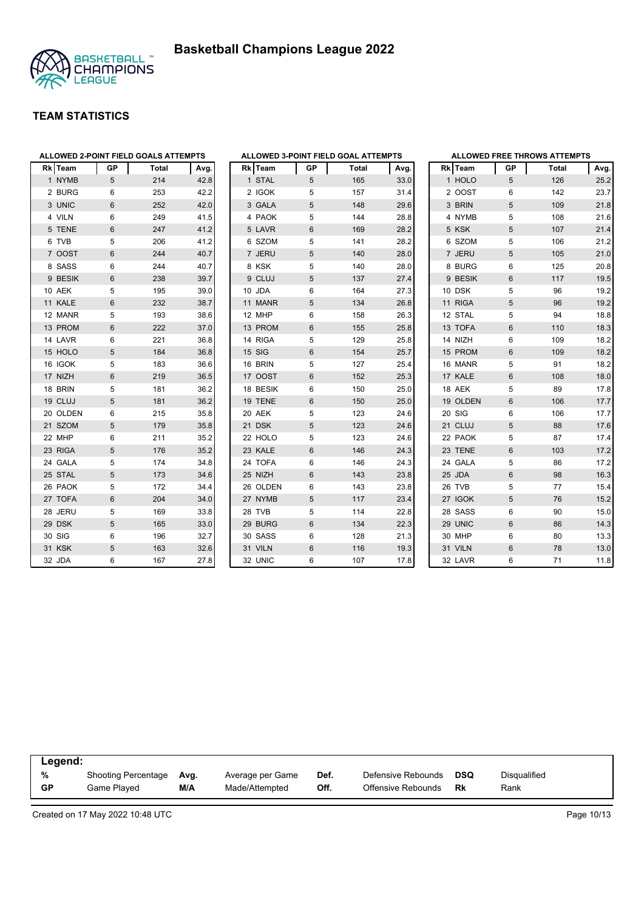



|            |             |                | ALLOWED 2-POINT FIELD GOALS ATTEMPTS |      |
|------------|-------------|----------------|--------------------------------------|------|
| <b>RkI</b> | <b>Team</b> | GР             | Total                                | Avg. |
|            | 1 NYMB      | 5              | 214                                  | 42.8 |
|            | 2 BURG      | 6              | 253                                  | 42.2 |
|            | 3 UNIC      | $6\phantom{1}$ | 252                                  | 42.0 |
|            | 4 VILN      | 6              | 249                                  | 41.5 |
|            | 5 TENE      | 6              | 247                                  | 41.2 |
|            | 6 TVB       | 5              | 206                                  | 41.2 |
|            | 7 OOST      | $6\phantom{1}$ | 244                                  | 40.7 |
|            | 8 SASS      | 6              | 244                                  | 40.7 |
|            | 9 BESIK     | 6              | 238                                  | 39.7 |
|            | 10 AEK      | 5              | 195                                  | 39.0 |
|            | 11 KALE     | $6\phantom{1}$ | 232                                  | 38.7 |
|            | 12 MANR     | 5              | 193                                  | 38.6 |
|            | 13 PROM     | 6              | 222                                  | 37.0 |
|            | 14 LAVR     | 6              | 221                                  | 36.8 |
|            | 15 HOLO     | 5              | 184                                  | 36.8 |
|            | 16 IGOK     | 5              | 183                                  | 36.6 |
|            | 17 NIZH     | $6\phantom{1}$ | 219                                  | 36.5 |
|            | 18 BRIN     | 5              | 181                                  | 36.2 |
|            | 19 CLUJ     | 5              | 181                                  | 36.2 |
|            | 20 OLDEN    | 6              | 215                                  | 35.8 |
|            | 21 SZOM     | 5              | 179                                  | 35.8 |
|            | 22 MHP      | 6              | 211                                  | 35.2 |
|            | 23 RIGA     | 5              | 176                                  | 35.2 |
|            | 24 GALA     | 5              | 174                                  | 34.8 |
|            | 25 STAL     | 5              | 173                                  | 34.6 |
|            | 26 PAOK     | 5              | 172                                  | 34.4 |
|            | 27 TOFA     | $6\phantom{1}$ | 204                                  | 34.0 |
|            | 28 JERU     | 5              | 169                                  | 33.8 |
|            | 29 DSK      | 5              | 165                                  | 33.0 |
|            | 30 SIG      | 6              | 196                                  | 32.7 |
|            | 31 KSK      | 5              | 163                                  | 32.6 |
|            | 32 JDA      | 6              | 167                                  | 27.8 |

|    |            |           | <b>ALLOWED FREE THROWS ATTEMPTS</b> |      |
|----|------------|-----------|-------------------------------------|------|
|    | Rk Team    | <b>GP</b> | <b>Total</b>                        | Avg. |
|    | 1 HOLO     | 5         | 126                                 | 25.2 |
|    | 2 OOST     | 6         | 142                                 | 23.7 |
|    | 3 BRIN     | 5         | 109                                 | 21.8 |
|    | 4 NYMB     | 5         | 108                                 | 21.6 |
| 5  | <b>KSK</b> | 5         | 107                                 | 21.4 |
|    | 6 SZOM     | 5         | 106                                 | 21.2 |
|    | 7 JERU     | 5         | 105                                 | 21.0 |
|    | 8 BURG     | 6         | 125                                 | 20.8 |
|    | 9 BESIK    | 6         | 117                                 | 19.5 |
|    | 10 DSK     | 5         | 96                                  | 19.2 |
|    | 11 RIGA    | 5         | 96                                  | 19.2 |
|    | 12 STAL    | 5         | 94                                  | 18.8 |
|    | 13 TOFA    | 6         | 110                                 | 18.3 |
|    | 14 NIZH    | 6         | 109                                 | 18.2 |
|    | 15 PROM    | 6         | 109                                 | 18.2 |
|    | 16 MANR    | 5         | 91                                  | 18.2 |
|    | 17 KALE    | 6         | 108                                 | 18.0 |
|    | 18 AEK     | 5         | 89                                  | 17.8 |
|    | 19 OLDEN   | 6         | 106                                 | 17.7 |
|    | 20 SIG     | 6         | 106                                 | 17.7 |
|    | 21 CLUJ    | 5         | 88                                  | 17.6 |
|    | 22 PAOK    | 5         | 87                                  | 17.4 |
|    | 23 TENE    | 6         | 103                                 | 17.2 |
|    | 24 GALA    | 5         | 86                                  | 17.2 |
|    | 25 JDA     | 6         | 98                                  | 16.3 |
| 26 | <b>TVB</b> | 5         | 77                                  | 15.4 |
|    | 27 IGOK    | 5         | 76                                  | 15.2 |
|    | 28 SASS    | 6         | 90                                  | 15.0 |
|    | 29 UNIC    | 6         | 86                                  | 14.3 |
|    | 30 MHP     | 6         | 80                                  | 13.3 |
|    | 31 VILN    | 6         | 78                                  | 13.0 |
|    | 32 LAVR    | 6         | 71                                  | 11.8 |

| Legend: |                     |      |                  |      |                    |     |                     |  |
|---------|---------------------|------|------------------|------|--------------------|-----|---------------------|--|
| %       | Shooting Percentage | Avg. | Average per Game | Def. | Defensive Rebounds | DSQ | <b>Disqualified</b> |  |
| GP      | Game Plaved         | M/A  | Made/Attempted   | Off. | Offensive Rebounds | Rk  | Rank                |  |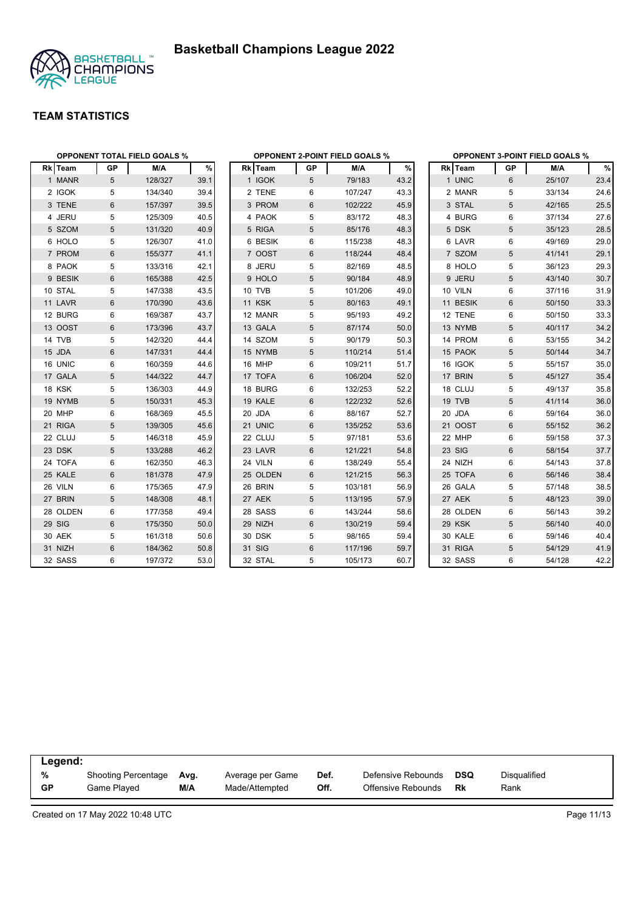



|          | <b>OPPONENT TOTAL FIELD GOALS %</b> |         |      |               |           | <b>OPPONENT 2-POINT FIELD GOALS %</b> |      | <b>OPPONENT 3-POINT FIELD GOALS %</b> |                |        |      |  |
|----------|-------------------------------------|---------|------|---------------|-----------|---------------------------------------|------|---------------------------------------|----------------|--------|------|--|
| Rk Team  | <b>GP</b>                           | M/A     | %    | Rk Team       | <b>GP</b> | M/A                                   | $\%$ | Rk Team                               | GP             | M/A    | $\%$ |  |
| 1 MANR   | 5                                   | 128/327 | 39.1 | 1 IGOK        | 5         | 79/183                                | 43.2 | 1 UNIC                                | 6              | 25/107 | 23.4 |  |
| 2 IGOK   | 5                                   | 134/340 | 39.4 | 2 TENE        | 6         | 107/247                               | 43.3 | 2 MANR                                | 5              | 33/134 | 24.6 |  |
| 3 TENE   | $6\phantom{1}$                      | 157/397 | 39.5 | 3 PROM        | 6         | 102/222                               | 45.9 | 3 STAL                                | 5              | 42/165 | 25.5 |  |
| 4 JERU   | 5                                   | 125/309 | 40.5 | 4 PAOK        | 5         | 83/172                                | 48.3 | 4 BURG                                | 6              | 37/134 | 27.6 |  |
| 5 SZOM   | 5                                   | 131/320 | 40.9 | 5 RIGA        | 5         | 85/176                                | 48.3 | 5 DSK                                 | 5              | 35/123 | 28.5 |  |
| 6 HOLO   | 5                                   | 126/307 | 41.0 | 6 BESIK       | 6         | 115/238                               | 48.3 | 6 LAVR                                | 6              | 49/169 | 29.0 |  |
| 7 PROM   | 6                                   | 155/377 | 41.1 | 7 OOST        | 6         | 118/244                               | 48.4 | 7 SZOM                                | 5              | 41/141 | 29.1 |  |
| 8 PAOK   | 5                                   | 133/316 | 42.1 | 8 JERU        | 5         | 82/169                                | 48.5 | 8 HOLO                                | 5              | 36/123 | 29.3 |  |
| 9 BESIK  | 6                                   | 165/388 | 42.5 | 9 HOLO        | 5         | 90/184                                | 48.9 | 9 JERU                                | 5              | 43/140 | 30.7 |  |
| 10 STAL  | 5                                   | 147/338 | 43.5 | 10 TVB        | 5         | 101/206                               | 49.0 | 10 VILN                               | 6              | 37/116 | 31.9 |  |
| 11 LAVR  | 6                                   | 170/390 | 43.6 | <b>11 KSK</b> | 5         | 80/163                                | 49.1 | 11 BESIK                              | 6              | 50/150 | 33.3 |  |
| 12 BURG  | 6                                   | 169/387 | 43.7 | 12 MANR       | 5         | 95/193                                | 49.2 | 12 TENE                               | 6              | 50/150 | 33.3 |  |
| 13 OOST  | 6                                   | 173/396 | 43.7 | 13 GALA       | 5         | 87/174                                | 50.0 | 13 NYMB                               | 5              | 40/117 | 34.2 |  |
| 14 TVB   | 5                                   | 142/320 | 44.4 | 14 SZOM       | 5         | 90/179                                | 50.3 | 14 PROM                               | 6              | 53/155 | 34.2 |  |
| 15 JDA   | 6                                   | 147/331 | 44.4 | 15 NYMB       | 5         | 110/214                               | 51.4 | 15 PAOK                               | 5              | 50/144 | 34.7 |  |
| 16 UNIC  | 6                                   | 160/359 | 44.6 | 16 MHP        | 6         | 109/211                               | 51.7 | 16 IGOK                               | 5              | 55/157 | 35.0 |  |
| 17 GALA  | 5                                   | 144/322 | 44.7 | 17 TOFA       | 6         | 106/204                               | 52.0 | 17 BRIN                               | 5              | 45/127 | 35.4 |  |
| 18 KSK   | 5                                   | 136/303 | 44.9 | 18 BURG       | 6         | 132/253                               | 52.2 | 18 CLUJ                               | 5              | 49/137 | 35.8 |  |
| 19 NYMB  | 5                                   | 150/331 | 45.3 | 19 KALE       | 6         | 122/232                               | 52.6 | 19 TVB                                | 5              | 41/114 | 36.0 |  |
| 20 MHP   | 6                                   | 168/369 | 45.5 | 20 JDA        | 6         | 88/167                                | 52.7 | 20 JDA                                | 6              | 59/164 | 36.0 |  |
| 21 RIGA  | 5                                   | 139/305 | 45.6 | 21 UNIC       | 6         | 135/252                               | 53.6 | 21 OOST                               | $6\phantom{1}$ | 55/152 | 36.2 |  |
| 22 CLUJ  | 5                                   | 146/318 | 45.9 | 22 CLUJ       | 5         | 97/181                                | 53.6 | 22 MHP                                | 6              | 59/158 | 37.3 |  |
| 23 DSK   | 5                                   | 133/288 | 46.2 | 23 LAVR       | 6         | 121/221                               | 54.8 | 23 SIG                                | $\,6\,$        | 58/154 | 37.7 |  |
| 24 TOFA  | 6                                   | 162/350 | 46.3 | 24 VILN       | 6         | 138/249                               | 55.4 | 24 NIZH                               | 6              | 54/143 | 37.8 |  |
| 25 KALE  | $6\phantom{1}$                      | 181/378 | 47.9 | 25 OLDEN      | 6         | 121/215                               | 56.3 | 25 TOFA                               | $\,6\,$        | 56/146 | 38.4 |  |
| 26 VILN  | 6                                   | 175/365 | 47.9 | 26 BRIN       | 5         | 103/181                               | 56.9 | 26 GALA                               | 5              | 57/148 | 38.5 |  |
| 27 BRIN  | $\sqrt{5}$                          | 148/308 | 48.1 | 27 AEK        | 5         | 113/195                               | 57.9 | 27 AEK                                | 5              | 48/123 | 39.0 |  |
| 28 OLDEN | 6                                   | 177/358 | 49.4 | 28 SASS       | 6         | 143/244                               | 58.6 | 28 OLDEN                              | 6              | 56/143 | 39.2 |  |
| 29 SIG   | 6                                   | 175/350 | 50.0 | 29 NIZH       | 6         | 130/219                               | 59.4 | 29 KSK                                | 5              | 56/140 | 40.0 |  |
| 30 AEK   | 5                                   | 161/318 | 50.6 | 30 DSK        | 5         | 98/165                                | 59.4 | 30 KALE                               | 6              | 59/146 | 40.4 |  |
| 31 NIZH  | 6                                   | 184/362 | 50.8 | 31 SIG        | 6         | 117/196                               | 59.7 | 31 RIGA                               | 5              | 54/129 | 41.9 |  |
| 32 SASS  | 6                                   | 197/372 | 53.0 | 32 STAL       | 5         | 105/173                               | 60.7 | 32 SASS                               | 6              | 54/128 | 42.2 |  |

| Legend:   |                            |      |                  |      |                    |     |              |  |
|-----------|----------------------------|------|------------------|------|--------------------|-----|--------------|--|
| %         | <b>Shooting Percentage</b> | Avg. | Average per Game | Def. | Defensive Rebounds | DSQ | Disgualified |  |
| <b>GP</b> | Game Played                | M/A  | Made/Attempted   | Off. | Offensive Rebounds | Rk  | Rank         |  |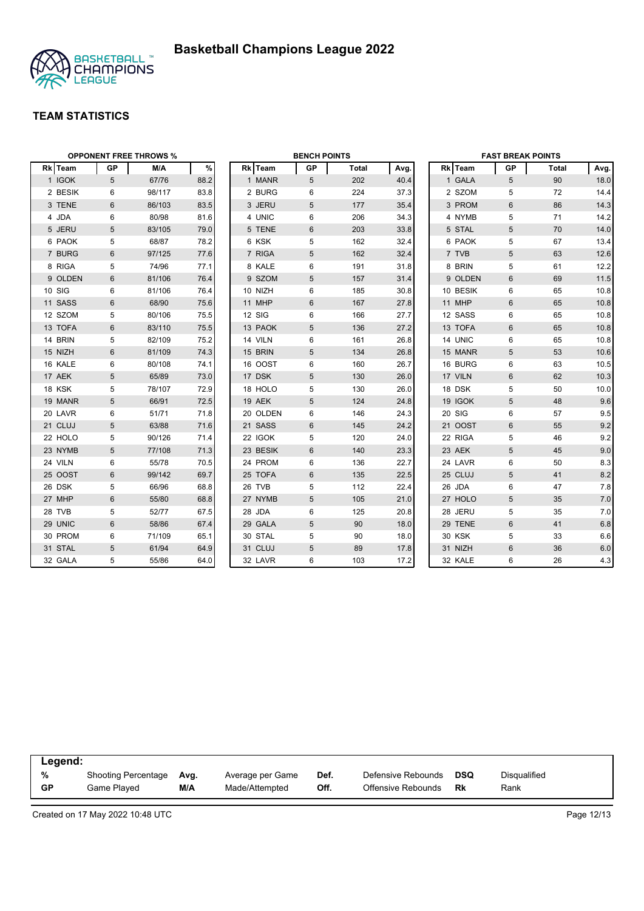

|                |                | <b>OPPONENT FREE THROWS %</b> |      | <b>BENCH POINTS</b> |            |       |      | <b>FAST BREAK POINTS</b> |                |       |      |
|----------------|----------------|-------------------------------|------|---------------------|------------|-------|------|--------------------------|----------------|-------|------|
| <b>Rk</b> Team | GP             | M/A                           | %    | Rk Team             | <b>GP</b>  | Total | Avg. | Rk Team                  | GP             | Total | Avg. |
| 1 IGOK         | 5              | 67/76                         | 88.2 | 1 MANR              | 5          | 202   | 40.4 | 1 GALA                   | 5              | 90    | 18.0 |
| 2 BESIK        | 6              | 98/117                        | 83.8 | 2 BURG              | 6          | 224   | 37.3 | 2 SZOM                   | 5              | 72    | 14.4 |
| 3 TENE         | 6              | 86/103                        | 83.5 | 3 JERU              | 5          | 177   | 35.4 | 3 PROM                   | 6              | 86    | 14.3 |
| 4 JDA          | 6              | 80/98                         | 81.6 | 4 UNIC              | 6          | 206   | 34.3 | 4 NYMB                   | 5              | 71    | 14.2 |
| 5 JERU         | 5              | 83/105                        | 79.0 | 5 TENE              | 6          | 203   | 33.8 | 5 STAL                   | 5              | 70    | 14.0 |
| 6 PAOK         | 5              | 68/87                         | 78.2 | 6 KSK               | 5          | 162   | 32.4 | 6 PAOK                   | 5              | 67    | 13.4 |
| 7 BURG         | $6\phantom{1}$ | 97/125                        | 77.6 | 7 RIGA              | 5          | 162   | 32.4 | 7 TVB                    | 5              | 63    | 12.6 |
| 8 RIGA         | 5              | 74/96                         | 77.1 | 8 KALE              | 6          | 191   | 31.8 | 8 BRIN                   | 5              | 61    | 12.2 |
| 9 OLDEN        | 6              | 81/106                        | 76.4 | 9 SZOM              | 5          | 157   | 31.4 | 9 OLDEN                  | 6              | 69    | 11.5 |
| 10 SIG         | 6              | 81/106                        | 76.4 | 10 NIZH             | 6          | 185   | 30.8 | 10 BESIK                 | 6              | 65    | 10.8 |
| 11 SASS        | 6              | 68/90                         | 75.6 | 11 MHP              | 6          | 167   | 27.8 | 11 MHP                   | 6              | 65    | 10.8 |
| 12 SZOM        | 5              | 80/106                        | 75.5 | 12 SIG              | 6          | 166   | 27.7 | 12 SASS                  | 6              | 65    | 10.8 |
| 13 TOFA        | $6\phantom{1}$ | 83/110                        | 75.5 | 13 PAOK             | $\sqrt{5}$ | 136   | 27.2 | 13 TOFA                  | 6              | 65    | 10.8 |
| 14 BRIN        | 5              | 82/109                        | 75.2 | 14 VILN             | 6          | 161   | 26.8 | 14 UNIC                  | 6              | 65    | 10.8 |
| 15 NIZH        | 6              | 81/109                        | 74.3 | 15 BRIN             | 5          | 134   | 26.8 | 15 MANR                  | 5              | 53    | 10.6 |
| 16 KALE        | 6              | 80/108                        | 74.1 | 16 OOST             | 6          | 160   | 26.7 | 16 BURG                  | 6              | 63    | 10.5 |
| 17 AEK         | 5              | 65/89                         | 73.0 | 17 DSK              | 5          | 130   | 26.0 | 17 VILN                  | 6              | 62    | 10.3 |
| 18 KSK         | 5              | 78/107                        | 72.9 | 18 HOLO             | 5          | 130   | 26.0 | 18 DSK                   | 5              | 50    | 10.0 |
| 19 MANR        | 5              | 66/91                         | 72.5 | 19 AEK              | 5          | 124   | 24.8 | 19 IGOK                  | 5              | 48    | 9.6  |
| 20 LAVR        | 6              | 51/71                         | 71.8 | 20 OLDEN            | 6          | 146   | 24.3 | 20 SIG                   | 6              | 57    | 9.5  |
| 21 CLUJ        | 5              | 63/88                         | 71.6 | 21 SASS             | 6          | 145   | 24.2 | 21 OOST                  | 6              | 55    | 9.2  |
| 22 HOLO        | 5              | 90/126                        | 71.4 | 22 IGOK             | 5          | 120   | 24.0 | 22 RIGA                  | 5              | 46    | 9.2  |
| 23 NYMB        | 5              | 77/108                        | 71.3 | 23 BESIK            | 6          | 140   | 23.3 | 23 AEK                   | 5              | 45    | 9.0  |
| 24 VILN        | 6              | 55/78                         | 70.5 | 24 PROM             | 6          | 136   | 22.7 | 24 LAVR                  | 6              | 50    | 8.3  |
| 25 OOST        | $6\phantom{1}$ | 99/142                        | 69.7 | 25 TOFA             | $6\,$      | 135   | 22.5 | 25 CLUJ                  | 5              | 41    | 8.2  |
| 26 DSK         | 5              | 66/96                         | 68.8 | 26 TVB              | 5          | 112   | 22.4 | 26 JDA                   | 6              | 47    | 7.8  |
| 27 MHP         | 6              | 55/80                         | 68.8 | 27 NYMB             | 5          | 105   | 21.0 | 27 HOLO                  | 5              | 35    | 7.0  |
| 28 TVB         | 5              | 52/77                         | 67.5 | 28 JDA              | 6          | 125   | 20.8 | 28 JERU                  | 5              | 35    | 7.0  |
| 29 UNIC        | 6              | 58/86                         | 67.4 | 29 GALA             | 5          | 90    | 18.0 | 29 TENE                  | 6              | 41    | 6.8  |
| 30 PROM        | 6              | 71/109                        | 65.1 | 30 STAL             | 5          | 90    | 18.0 | <b>30 KSK</b>            | 5              | 33    | 6.6  |
| 31 STAL        | 5              | 61/94                         | 64.9 | 31 CLUJ             | 5          | 89    | 17.8 | 31 NIZH                  | $6\phantom{1}$ | 36    | 6.0  |
| 32 GALA        | 5              | 55/86                         | 64.0 | 32 LAVR             | 6          | 103   | 17.2 | 32 KALE                  | 6              | 26    | 4.3  |

| Legend:   |                     |      |                  |      |                    |     |                     |  |
|-----------|---------------------|------|------------------|------|--------------------|-----|---------------------|--|
| %         | Shooting Percentage | Avg. | Average per Game | Def. | Defensive Rebounds | DSQ | <b>Disqualified</b> |  |
| <b>GP</b> | Game Plaved         | M/A  | Made/Attempted   | Off. | Offensive Rebounds | Rk  | Rank                |  |